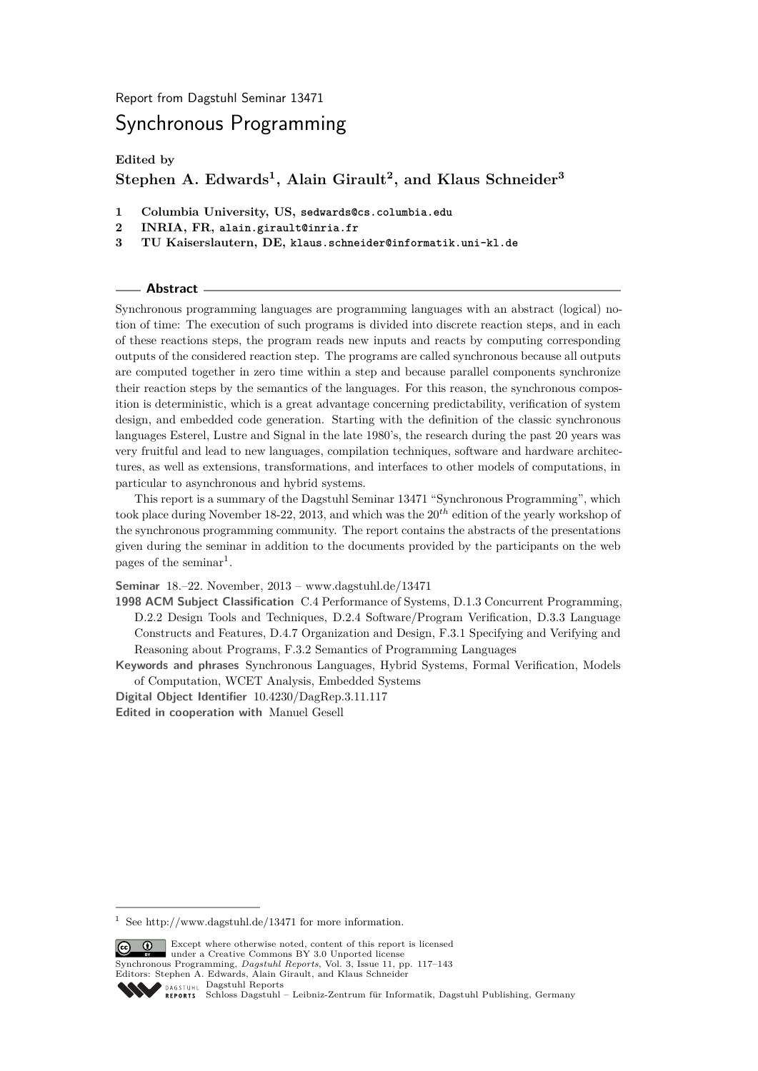Report from Dagstuhl Seminar 13471

# Synchronous Programming

**Edited by**

# **Stephen A. Edwards<sup>1</sup> , Alain Girault<sup>2</sup> , and Klaus Schneider<sup>3</sup>**

- **1 Columbia University, US, sedwards@cs.columbia.edu**
- **2 INRIA, FR, alain.girault@inria.fr**
- **3 TU Kaiserslautern, DE, klaus.schneider@informatik.uni-kl.de**

#### **Abstract**

Synchronous programming languages are programming languages with an abstract (logical) notion of time: The execution of such programs is divided into discrete reaction steps, and in each of these reactions steps, the program reads new inputs and reacts by computing corresponding outputs of the considered reaction step. The programs are called synchronous because all outputs are computed together in zero time within a step and because parallel components synchronize their reaction steps by the semantics of the languages. For this reason, the synchronous composition is deterministic, which is a great advantage concerning predictability, verification of system design, and embedded code generation. Starting with the definition of the classic synchronous languages Esterel, Lustre and Signal in the late 1980's, the research during the past 20 years was very fruitful and lead to new languages, compilation techniques, software and hardware architectures, as well as extensions, transformations, and interfaces to other models of computations, in particular to asynchronous and hybrid systems.

This report is a summary of the Dagstuhl Seminar 13471 "Synchronous Programming", which took place during November 18-22, 2013, and which was the 20*th* edition of the yearly workshop of the synchronous programming community. The report contains the abstracts of the presentations given during the seminar in addition to the documents provided by the participants on the web pages of the seminar<sup>[1](#page-0-0)</sup>.

**Seminar** 18.–22. November, 2013 – [www.dagstuhl.de/13471](http://www.dagstuhl.de/13471)

**1998 ACM Subject Classification** C.4 Performance of Systems, D.1.3 Concurrent Programming, D.2.2 Design Tools and Techniques, D.2.4 Software/Program Verification, D.3.3 Language Constructs and Features, D.4.7 Organization and Design, F.3.1 Specifying and Verifying and Reasoning about Programs, F.3.2 Semantics of Programming Languages

**Keywords and phrases** Synchronous Languages, Hybrid Systems, Formal Verification, Models of Computation, WCET Analysis, Embedded Systems

**Digital Object Identifier** [10.4230/DagRep.3.11.117](http://dx.doi.org/10.4230/DagRep.3.11.117) **Edited in cooperation with** Manuel Gesell

<span id="page-0-0"></span>See<http://www.dagstuhl.de/13471> for more information.



Except where being who hoves, convenience of the state of the under a [Creative Commons BY 3.0 Unported](http://creativecommons.org/licenses/by/3.0/) license Synchronous Programming, *Dagstuhl Reports*, Vol. 3, Issue 11, pp. 117[–143](#page-26-0) Editors: Stephen A. Edwards, Alain Girault, and Klaus Schneider [Dagstuhl Reports](http://www.dagstuhl.de/dagstuhl-reports/)

Except where otherwise noted, content of this report is licensed

REPORTS [Schloss Dagstuhl – Leibniz-Zentrum für Informatik, Dagstuhl Publishing, Germany](http://www.dagstuhl.de)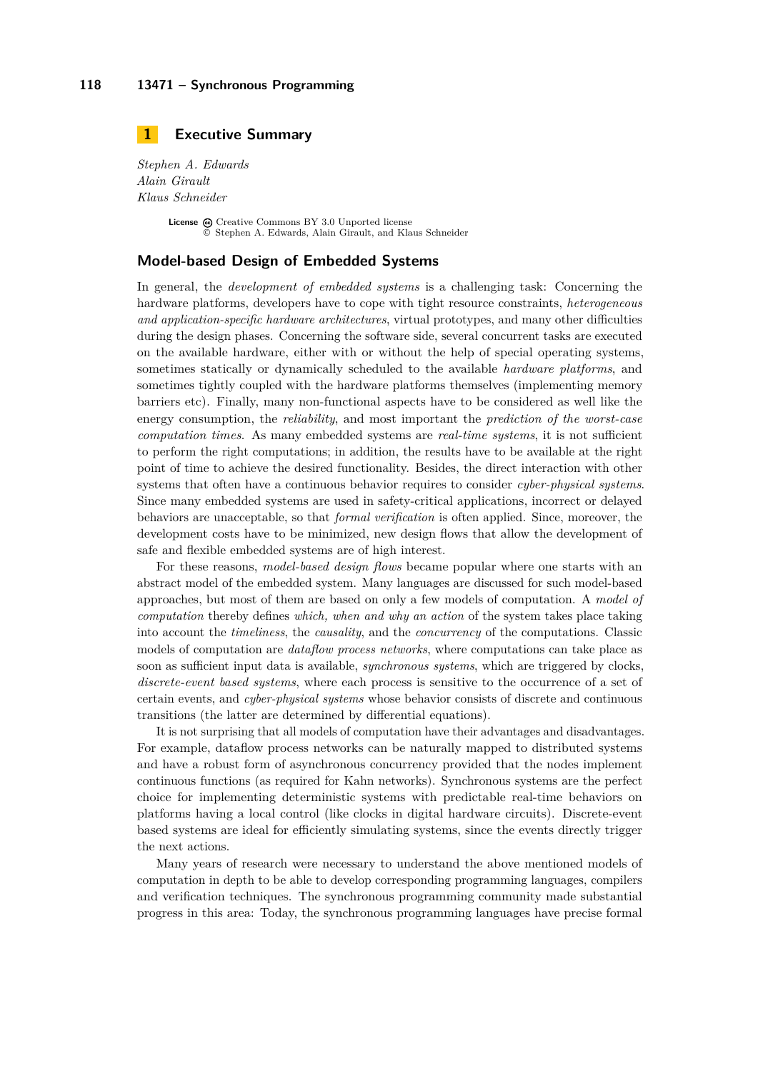# <span id="page-1-0"></span>**1 Executive Summary**

*Stephen A. Edwards Alain Girault Klaus Schneider*

> License  $\textcircled{c}$  [Creative Commons BY 3.0 Unported](http://creativecommons.org/licenses/by/3.0/) license © [Stephen A. Edwards, Alain Girault, and Klaus Schneider](#page-1-0)

### **Model-based Design of Embedded Systems**

In general, the *development of embedded systems* is a challenging task: Concerning the hardware platforms, developers have to cope with tight resource constraints, *heterogeneous and application-specific hardware architectures*, virtual prototypes, and many other difficulties during the design phases. Concerning the software side, several concurrent tasks are executed on the available hardware, either with or without the help of special operating systems, sometimes statically or dynamically scheduled to the available *hardware platforms*, and sometimes tightly coupled with the hardware platforms themselves (implementing memory barriers etc). Finally, many non-functional aspects have to be considered as well like the energy consumption, the *reliability*, and most important the *prediction of the worst-case computation times*. As many embedded systems are *real-time systems*, it is not sufficient to perform the right computations; in addition, the results have to be available at the right point of time to achieve the desired functionality. Besides, the direct interaction with other systems that often have a continuous behavior requires to consider *cyber-physical systems*. Since many embedded systems are used in safety-critical applications, incorrect or delayed behaviors are unacceptable, so that *formal verification* is often applied. Since, moreover, the development costs have to be minimized, new design flows that allow the development of safe and flexible embedded systems are of high interest.

For these reasons, *model-based design flows* became popular where one starts with an abstract model of the embedded system. Many languages are discussed for such model-based approaches, but most of them are based on only a few models of computation. A *model of computation* thereby defines *which, when and why an action* of the system takes place taking into account the *timeliness*, the *causality*, and the *concurrency* of the computations. Classic models of computation are *dataflow process networks*, where computations can take place as soon as sufficient input data is available, *synchronous systems*, which are triggered by clocks, *discrete-event based systems*, where each process is sensitive to the occurrence of a set of certain events, and *cyber-physical systems* whose behavior consists of discrete and continuous transitions (the latter are determined by differential equations).

It is not surprising that all models of computation have their advantages and disadvantages. For example, dataflow process networks can be naturally mapped to distributed systems and have a robust form of asynchronous concurrency provided that the nodes implement continuous functions (as required for Kahn networks). Synchronous systems are the perfect choice for implementing deterministic systems with predictable real-time behaviors on platforms having a local control (like clocks in digital hardware circuits). Discrete-event based systems are ideal for efficiently simulating systems, since the events directly trigger the next actions.

Many years of research were necessary to understand the above mentioned models of computation in depth to be able to develop corresponding programming languages, compilers and verification techniques. The synchronous programming community made substantial progress in this area: Today, the synchronous programming languages have precise formal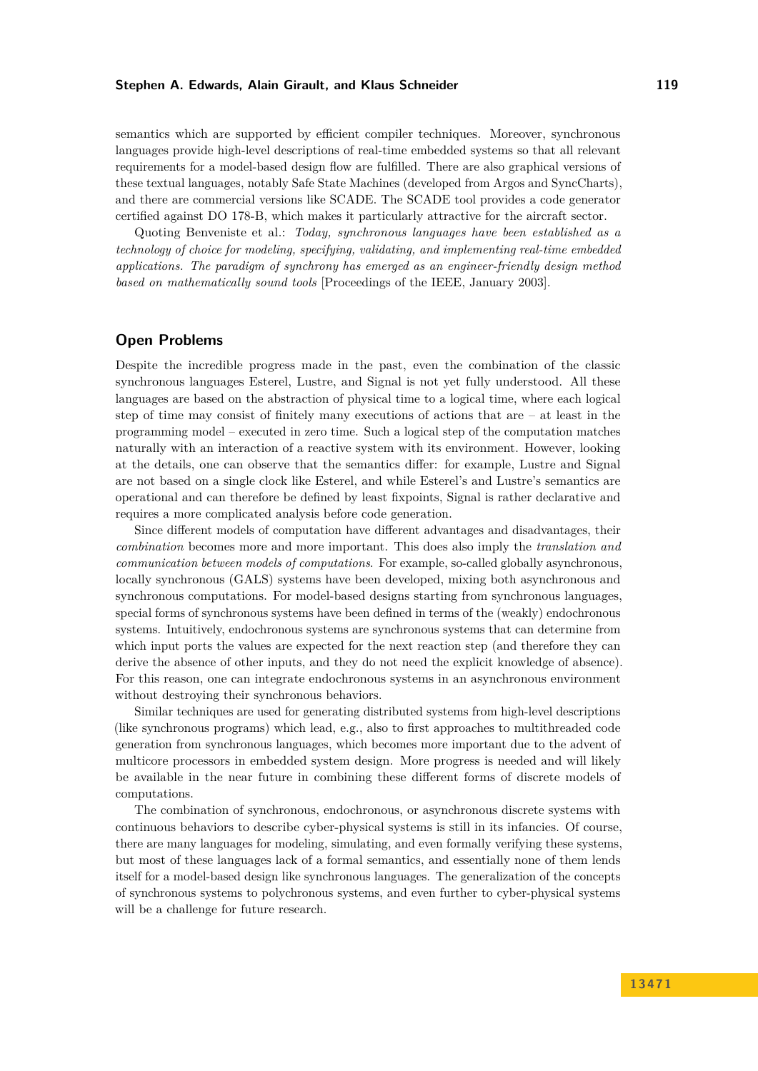#### **Stephen A. Edwards, Alain Girault, and Klaus Schneider 119**

semantics which are supported by efficient compiler techniques. Moreover, synchronous languages provide high-level descriptions of real-time embedded systems so that all relevant requirements for a model-based design flow are fulfilled. There are also graphical versions of these textual languages, notably Safe State Machines (developed from Argos and SyncCharts), and there are commercial versions like SCADE. The SCADE tool provides a code generator certified against DO 178-B, which makes it particularly attractive for the aircraft sector.

Quoting Benveniste et al.: *Today, synchronous languages have been established as a technology of choice for modeling, specifying, validating, and implementing real-time embedded applications. The paradigm of synchrony has emerged as an engineer-friendly design method based on mathematically sound tools* [Proceedings of the IEEE, January 2003].

## **Open Problems**

Despite the incredible progress made in the past, even the combination of the classic synchronous languages Esterel, Lustre, and Signal is not yet fully understood. All these languages are based on the abstraction of physical time to a logical time, where each logical step of time may consist of finitely many executions of actions that are – at least in the programming model – executed in zero time. Such a logical step of the computation matches naturally with an interaction of a reactive system with its environment. However, looking at the details, one can observe that the semantics differ: for example, Lustre and Signal are not based on a single clock like Esterel, and while Esterel's and Lustre's semantics are operational and can therefore be defined by least fixpoints, Signal is rather declarative and requires a more complicated analysis before code generation.

Since different models of computation have different advantages and disadvantages, their *combination* becomes more and more important. This does also imply the *translation and communication between models of computations*. For example, so-called globally asynchronous, locally synchronous (GALS) systems have been developed, mixing both asynchronous and synchronous computations. For model-based designs starting from synchronous languages, special forms of synchronous systems have been defined in terms of the (weakly) endochronous systems. Intuitively, endochronous systems are synchronous systems that can determine from which input ports the values are expected for the next reaction step (and therefore they can derive the absence of other inputs, and they do not need the explicit knowledge of absence). For this reason, one can integrate endochronous systems in an asynchronous environment without destroying their synchronous behaviors.

Similar techniques are used for generating distributed systems from high-level descriptions (like synchronous programs) which lead, e.g., also to first approaches to multithreaded code generation from synchronous languages, which becomes more important due to the advent of multicore processors in embedded system design. More progress is needed and will likely be available in the near future in combining these different forms of discrete models of computations.

The combination of synchronous, endochronous, or asynchronous discrete systems with continuous behaviors to describe cyber-physical systems is still in its infancies. Of course, there are many languages for modeling, simulating, and even formally verifying these systems, but most of these languages lack of a formal semantics, and essentially none of them lends itself for a model-based design like synchronous languages. The generalization of the concepts of synchronous systems to polychronous systems, and even further to cyber-physical systems will be a challenge for future research.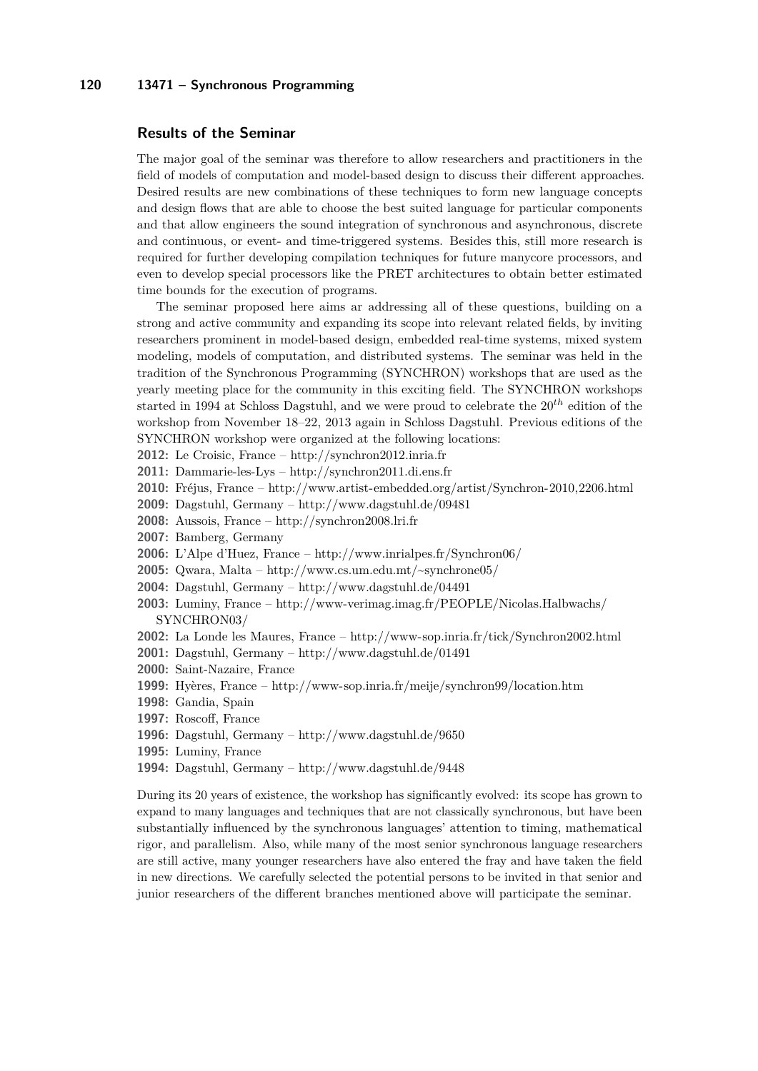#### **120 13471 – Synchronous Programming**

#### **Results of the Seminar**

The major goal of the seminar was therefore to allow researchers and practitioners in the field of models of computation and model-based design to discuss their different approaches. Desired results are new combinations of these techniques to form new language concepts and design flows that are able to choose the best suited language for particular components and that allow engineers the sound integration of synchronous and asynchronous, discrete and continuous, or event- and time-triggered systems. Besides this, still more research is required for further developing compilation techniques for future manycore processors, and even to develop special processors like the PRET architectures to obtain better estimated time bounds for the execution of programs.

The seminar proposed here aims ar addressing all of these questions, building on a strong and active community and expanding its scope into relevant related fields, by inviting researchers prominent in model-based design, embedded real-time systems, mixed system modeling, models of computation, and distributed systems. The seminar was held in the tradition of the Synchronous Programming (SYNCHRON) workshops that are used as the yearly meeting place for the community in this exciting field. The SYNCHRON workshops started in 1994 at Schloss Dagstuhl, and we were proud to celebrate the 20*th* edition of the workshop from November 18–22, 2013 again in Schloss Dagstuhl. Previous editions of the SYNCHRON workshop were organized at the following locations:

**2012:** Le Croisic, France –<http://synchron2012.inria.fr>

- **2011:** Dammarie-les-Lys –<http://synchron2011.di.ens.fr>
- **2010:** Fréjus, France –<http://www.artist-embedded.org/artist/Synchron-2010,2206.html>
- **2009:** Dagstuhl, Germany –<http://www.dagstuhl.de/09481>
- **2008:** Aussois, France –<http://synchron2008.lri.fr>
- **2007:** Bamberg, Germany
- **2006:** L'Alpe d'Huez, France –<http://www.inrialpes.fr/Synchron06/>
- **2005:** Qwara, Malta –<http://www.cs.um.edu.mt/~synchrone05/>
- **2004:** Dagstuhl, Germany –<http://www.dagstuhl.de/04491>
- **2003:** Luminy, France – [http://www-verimag.imag.fr/PEOPLE/Nicolas.Halbwachs/](http://www-verimag.imag.fr/PEOPLE/Nicolas.Halbwachs/SYNCHRON03/) [SYNCHRON03/](http://www-verimag.imag.fr/PEOPLE/Nicolas.Halbwachs/SYNCHRON03/)
- **2002:** La Londe les Maures, France –<http://www-sop.inria.fr/tick/Synchron2002.html>
- **2001:** Dagstuhl, Germany –<http://www.dagstuhl.de/01491>
- **2000:** Saint-Nazaire, France
- **1999:** Hyères, France –<http://www-sop.inria.fr/meije/synchron99/location.htm>
- **1998:** Gandia, Spain
- **1997:** Roscoff, France
- **1996:** Dagstuhl, Germany –<http://www.dagstuhl.de/9650>
- **1995:** Luminy, France
- **1994:** Dagstuhl, Germany –<http://www.dagstuhl.de/9448>

During its 20 years of existence, the workshop has significantly evolved: its scope has grown to expand to many languages and techniques that are not classically synchronous, but have been substantially influenced by the synchronous languages' attention to timing, mathematical rigor, and parallelism. Also, while many of the most senior synchronous language researchers are still active, many younger researchers have also entered the fray and have taken the field in new directions. We carefully selected the potential persons to be invited in that senior and junior researchers of the different branches mentioned above will participate the seminar.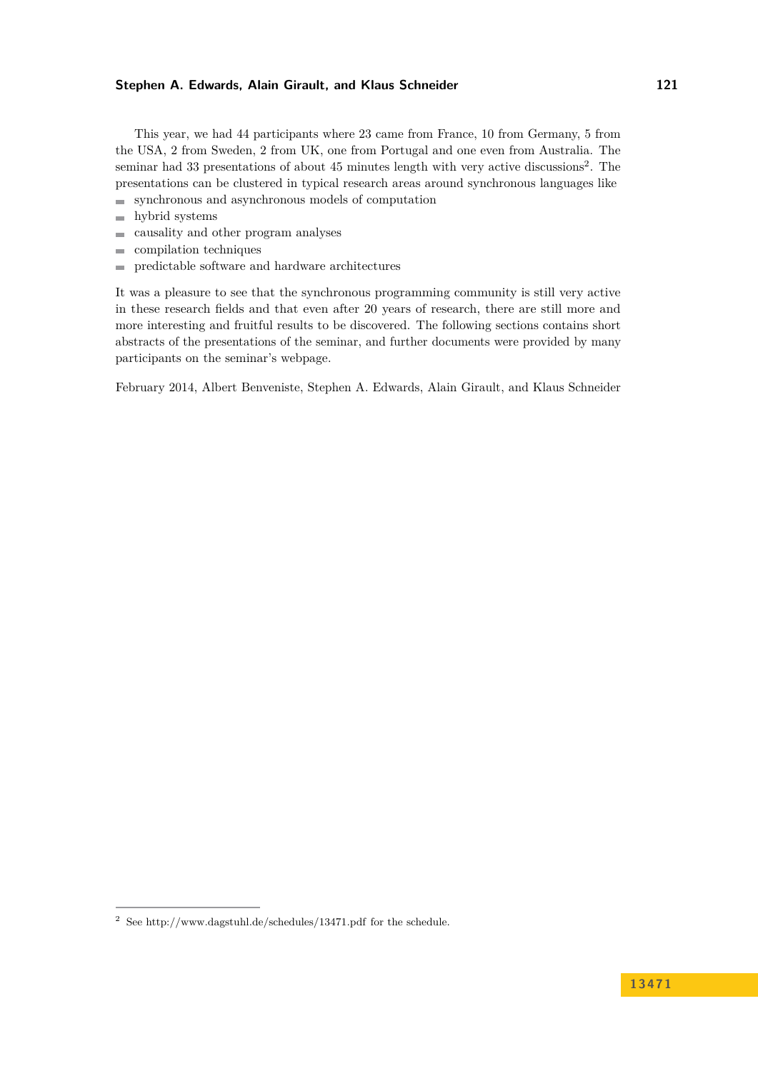#### **Stephen A. Edwards, Alain Girault, and Klaus Schneider 121**

This year, we had 44 participants where 23 came from France, 10 from Germany, 5 from the USA, 2 from Sweden, 2 from UK, one from Portugal and one even from Australia. The seminar had 33 presentations of about 45 minutes length with very active discussions<sup>[2](#page-4-0)</sup>. The presentations can be clustered in typical research areas around synchronous languages like

- $\blacksquare$ synchronous and asynchronous models of computation
- hybrid systems  $\blacksquare$
- causality and other program analyses  $\overline{a}$
- compilation techniques ÷
- predictable software and hardware architectures  $\overline{\phantom{a}}$

It was a pleasure to see that the synchronous programming community is still very active in these research fields and that even after 20 years of research, there are still more and more interesting and fruitful results to be discovered. The following sections contains short abstracts of the presentations of the seminar, and further documents were provided by many participants on the seminar's webpage.

February 2014, Albert Benveniste, Stephen A. Edwards, Alain Girault, and Klaus Schneider

<span id="page-4-0"></span> $^2$  See<http://www.dagstuhl.de/schedules/13471.pdf> for the schedule.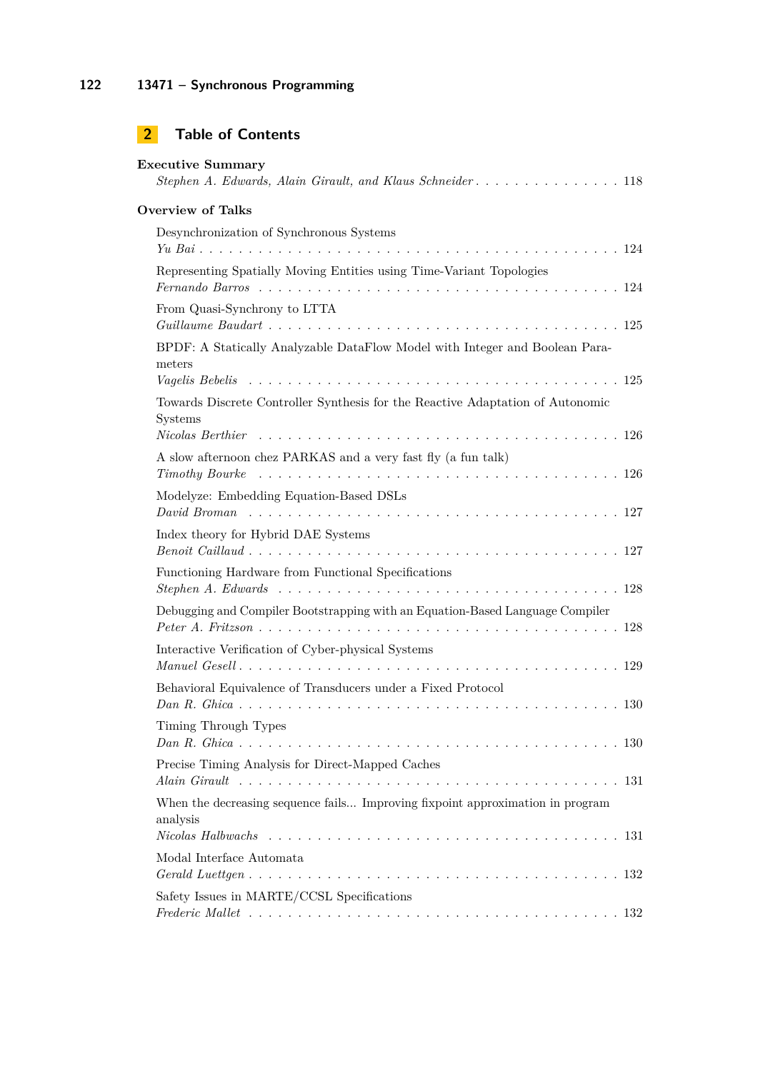# **2 Table of Contents**

| <b>Executive Summary</b><br>Stephen A. Edwards, Alain Girault, and Klaus Schneider 118     |
|--------------------------------------------------------------------------------------------|
| <b>Overview of Talks</b>                                                                   |
| Desynchronization of Synchronous Systems                                                   |
| Representing Spatially Moving Entities using Time-Variant Topologies                       |
| From Quasi-Synchrony to LTTA                                                               |
| BPDF: A Statically Analyzable DataFlow Model with Integer and Boolean Para-<br>meters      |
| Towards Discrete Controller Synthesis for the Reactive Adaptation of Autonomic<br>Systems  |
| A slow afternoon chez PARKAS and a very fast fly (a fun talk)                              |
| Modelyze: Embedding Equation-Based DSLs                                                    |
| Index theory for Hybrid DAE Systems                                                        |
| Functioning Hardware from Functional Specifications                                        |
| Debugging and Compiler Bootstrapping with an Equation-Based Language Compiler              |
| Interactive Verification of Cyber-physical Systems                                         |
| Behavioral Equivalence of Transducers under a Fixed Protocol                               |
| Timing Through Types                                                                       |
| Precise Timing Analysis for Direct-Mapped Caches                                           |
| When the decreasing sequence fails Improving fixpoint approximation in program<br>analysis |
| Modal Interface Automata                                                                   |
| Safety Issues in MARTE/CCSL Specifications                                                 |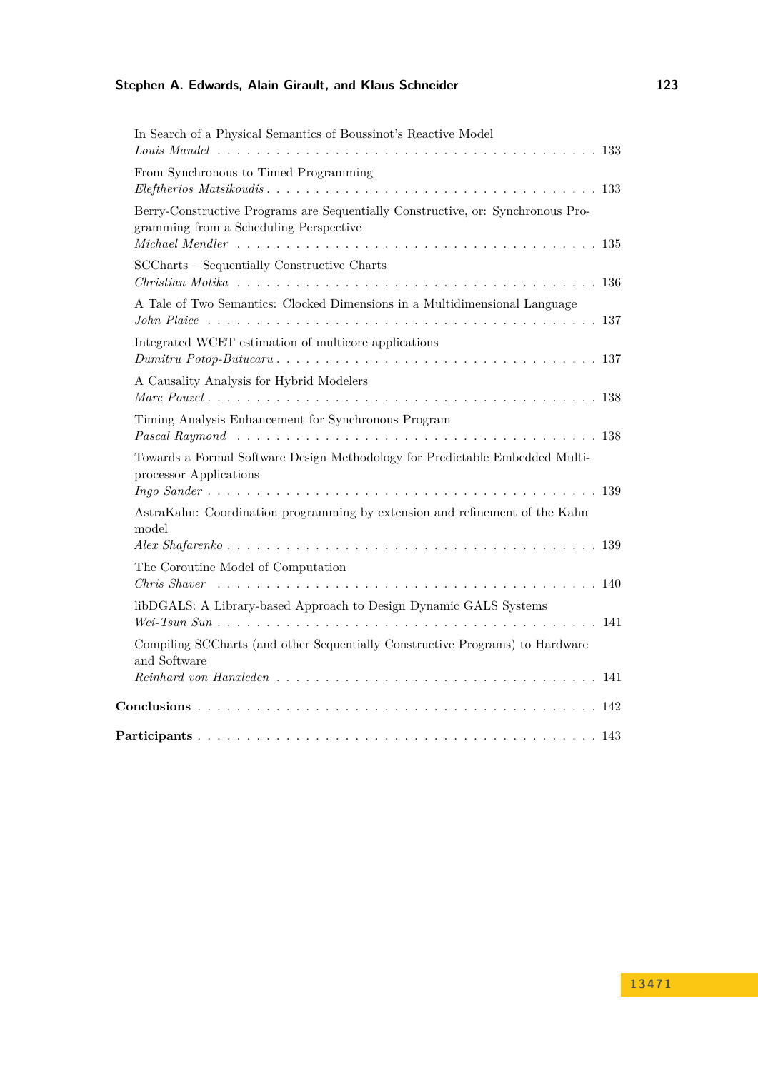| In Search of a Physical Semantics of Boussinot's Reactive Model                                                           |
|---------------------------------------------------------------------------------------------------------------------------|
|                                                                                                                           |
| From Synchronous to Timed Programming                                                                                     |
| Berry-Constructive Programs are Sequentially Constructive, or: Synchronous Pro-<br>gramming from a Scheduling Perspective |
| SCCharts - Sequentially Constructive Charts                                                                               |
| A Tale of Two Semantics: Clocked Dimensions in a Multidimensional Language                                                |
| Integrated WCET estimation of multicore applications                                                                      |
| A Causality Analysis for Hybrid Modelers                                                                                  |
| Timing Analysis Enhancement for Synchronous Program                                                                       |
| Towards a Formal Software Design Methodology for Predictable Embedded Multi-<br>processor Applications                    |
| AstraKahn: Coordination programming by extension and refinement of the Kahn<br>model                                      |
|                                                                                                                           |
| The Coroutine Model of Computation                                                                                        |
| libDGALS: A Library-based Approach to Design Dynamic GALS Systems                                                         |
| Compiling SCCharts (and other Sequentially Constructive Programs) to Hardware<br>and Software                             |
|                                                                                                                           |
|                                                                                                                           |
|                                                                                                                           |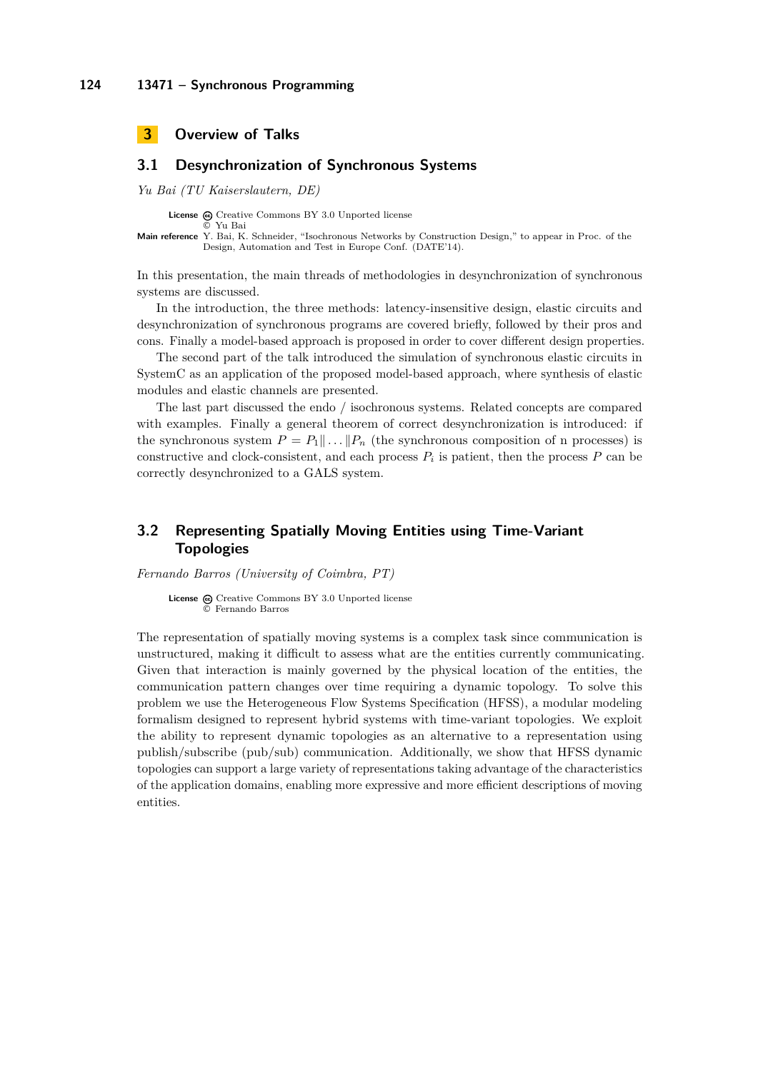<span id="page-7-0"></span>

# <span id="page-7-1"></span>**3.1 Desynchronization of Synchronous Systems**

*Yu Bai (TU Kaiserslautern, DE)*

© [Yu Bai](#page-7-1)

License  $\textcircled{c}$  [Creative Commons BY 3.0 Unported](http://creativecommons.org/licenses/by/3.0/) license

**Main reference** [Y. Bai, K. Schneider, "Isochronous Networks by Construction Design," to appear in Proc. of the](Y. Bai, K. Schneider, ``Isochronous Networks by Construction Design,) [Design, Automation and Test in Europe Conf. \(DATE'14\).](Y. Bai, K. Schneider, ``Isochronous Networks by Construction Design,)

In this presentation, the main threads of methodologies in desynchronization of synchronous systems are discussed.

In the introduction, the three methods: latency-insensitive design, elastic circuits and desynchronization of synchronous programs are covered briefly, followed by their pros and cons. Finally a model-based approach is proposed in order to cover different design properties.

The second part of the talk introduced the simulation of synchronous elastic circuits in SystemC as an application of the proposed model-based approach, where synthesis of elastic modules and elastic channels are presented.

The last part discussed the endo / isochronous systems. Related concepts are compared with examples. Finally a general theorem of correct desynchronization is introduced: if the synchronous system  $P = P_1 || \dots || P_n$  (the synchronous composition of n processes) is constructive and clock-consistent, and each process  $P_i$  is patient, then the process  $P$  can be correctly desynchronized to a GALS system.

# <span id="page-7-2"></span>**3.2 Representing Spatially Moving Entities using Time-Variant Topologies**

*Fernando Barros (University of Coimbra, PT)*

License  $\bigcirc$  [Creative Commons BY 3.0 Unported](http://creativecommons.org/licenses/by/3.0/) license © [Fernando Barros](#page-7-2)

The representation of spatially moving systems is a complex task since communication is unstructured, making it difficult to assess what are the entities currently communicating. Given that interaction is mainly governed by the physical location of the entities, the communication pattern changes over time requiring a dynamic topology. To solve this problem we use the Heterogeneous Flow Systems Specification (HFSS), a modular modeling formalism designed to represent hybrid systems with time-variant topologies. We exploit the ability to represent dynamic topologies as an alternative to a representation using publish/subscribe (pub/sub) communication. Additionally, we show that HFSS dynamic topologies can support a large variety of representations taking advantage of the characteristics of the application domains, enabling more expressive and more efficient descriptions of moving entities.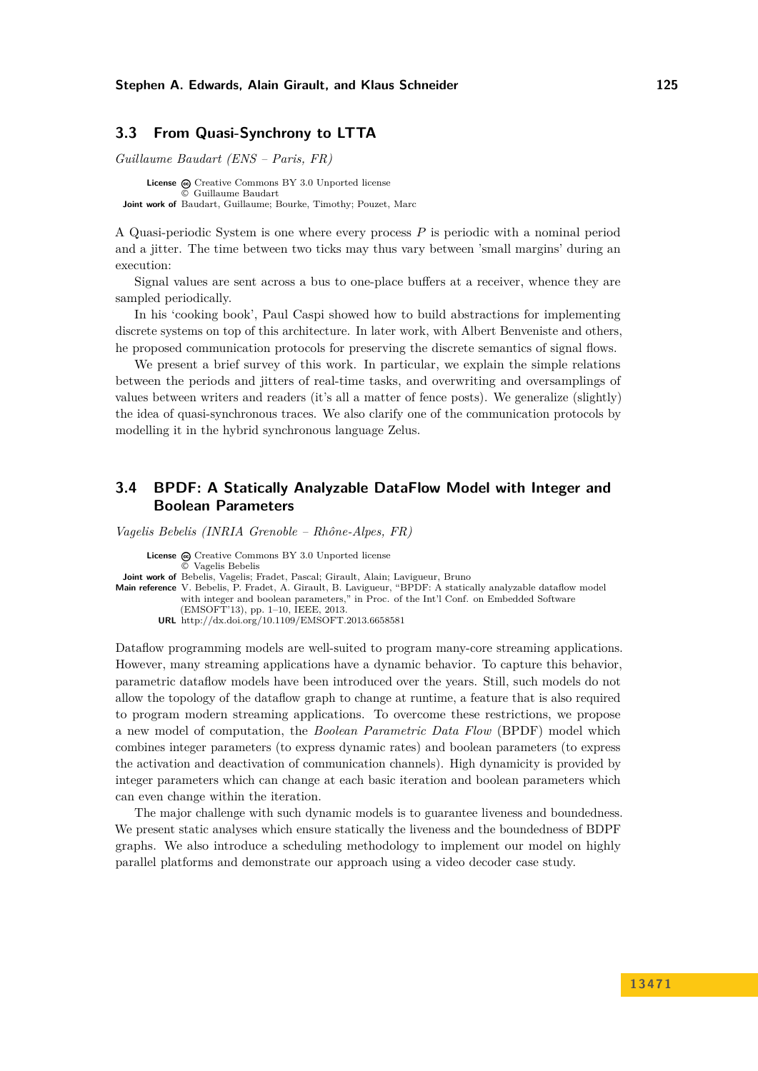# <span id="page-8-0"></span>**3.3 From Quasi-Synchrony to LTTA**

*Guillaume Baudart (ENS – Paris, FR)*

**License**  $\odot$  [Creative Commons BY 3.0 Unported](http://creativecommons.org/licenses/by/3.0/) license © [Guillaume Baudart](#page-8-0) **Joint work of** Baudart, Guillaume; Bourke, Timothy; Pouzet, Marc

A Quasi-periodic System is one where every process *P* is periodic with a nominal period and a jitter. The time between two ticks may thus vary between 'small margins' during an execution:

Signal values are sent across a bus to one-place buffers at a receiver, whence they are sampled periodically.

In his 'cooking book', Paul Caspi showed how to build abstractions for implementing discrete systems on top of this architecture. In later work, with Albert Benveniste and others, he proposed communication protocols for preserving the discrete semantics of signal flows.

We present a brief survey of this work. In particular, we explain the simple relations between the periods and jitters of real-time tasks, and overwriting and oversamplings of values between writers and readers (it's all a matter of fence posts). We generalize (slightly) the idea of quasi-synchronous traces. We also clarify one of the communication protocols by modelling it in the hybrid synchronous language Zelus.

# <span id="page-8-1"></span>**3.4 BPDF: A Statically Analyzable DataFlow Model with Integer and Boolean Parameters**

*Vagelis Bebelis (INRIA Grenoble – Rhône-Alpes, FR)*

License  $\odot$  [Creative Commons BY 3.0 Unported](http://creativecommons.org/licenses/by/3.0/) license © [Vagelis Bebelis](#page-8-1) **Joint work of** Bebelis, Vagelis; Fradet, Pascal; Girault, Alain; Lavigueur, Bruno **Main reference** [V. Bebelis, P. Fradet, A. Girault, B. Lavigueur, "BPDF: A statically analyzable dataflow model](http://dx.doi.org/10.1109/EMSOFT.2013.6658581) [with integer and boolean parameters," in Proc. of the Int'l Conf. on Embedded Software](http://dx.doi.org/10.1109/EMSOFT.2013.6658581) [\(EMSOFT'13\), pp. 1–10, IEEE, 2013.](http://dx.doi.org/10.1109/EMSOFT.2013.6658581) **URL** <http://dx.doi.org/10.1109/EMSOFT.2013.6658581>

Dataflow programming models are well-suited to program many-core streaming applications. However, many streaming applications have a dynamic behavior. To capture this behavior, parametric dataflow models have been introduced over the years. Still, such models do not allow the topology of the dataflow graph to change at runtime, a feature that is also required to program modern streaming applications. To overcome these restrictions, we propose a new model of computation, the *Boolean Parametric Data Flow* (BPDF) model which combines integer parameters (to express dynamic rates) and boolean parameters (to express the activation and deactivation of communication channels). High dynamicity is provided by integer parameters which can change at each basic iteration and boolean parameters which can even change within the iteration.

The major challenge with such dynamic models is to guarantee liveness and boundedness. We present static analyses which ensure statically the liveness and the boundedness of BDPF graphs. We also introduce a scheduling methodology to implement our model on highly parallel platforms and demonstrate our approach using a video decoder case study.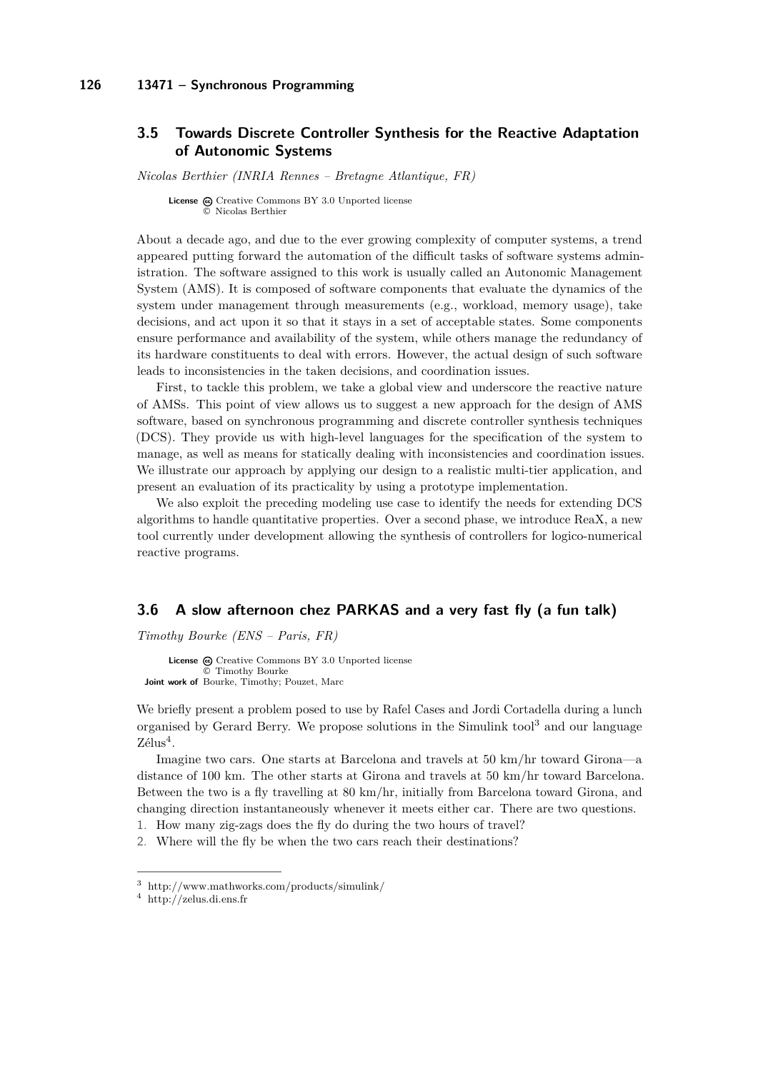#### **126 13471 – Synchronous Programming**

# <span id="page-9-0"></span>**3.5 Towards Discrete Controller Synthesis for the Reactive Adaptation of Autonomic Systems**

*Nicolas Berthier (INRIA Rennes – Bretagne Atlantique, FR)*

**License**  $\textcircled{c}$  [Creative Commons BY 3.0 Unported](http://creativecommons.org/licenses/by/3.0/) license © [Nicolas Berthier](#page-9-0)

About a decade ago, and due to the ever growing complexity of computer systems, a trend appeared putting forward the automation of the difficult tasks of software systems administration. The software assigned to this work is usually called an Autonomic Management System (AMS). It is composed of software components that evaluate the dynamics of the system under management through measurements (e.g., workload, memory usage), take decisions, and act upon it so that it stays in a set of acceptable states. Some components ensure performance and availability of the system, while others manage the redundancy of its hardware constituents to deal with errors. However, the actual design of such software leads to inconsistencies in the taken decisions, and coordination issues.

First, to tackle this problem, we take a global view and underscore the reactive nature of AMSs. This point of view allows us to suggest a new approach for the design of AMS software, based on synchronous programming and discrete controller synthesis techniques (DCS). They provide us with high-level languages for the specification of the system to manage, as well as means for statically dealing with inconsistencies and coordination issues. We illustrate our approach by applying our design to a realistic multi-tier application, and present an evaluation of its practicality by using a prototype implementation.

We also exploit the preceding modeling use case to identify the needs for extending DCS algorithms to handle quantitative properties. Over a second phase, we introduce ReaX, a new tool currently under development allowing the synthesis of controllers for logico-numerical reactive programs.

### <span id="page-9-1"></span>**3.6 A slow afternoon chez PARKAS and a very fast fly (a fun talk)**

*Timothy Bourke (ENS – Paris, FR)*

License  $\bigcirc$  [Creative Commons BY 3.0 Unported](http://creativecommons.org/licenses/by/3.0/) license © [Timothy Bourke](#page-9-1) **Joint work of** Bourke, Timothy; Pouzet, Marc

We briefly present a problem posed to use by Rafel Cases and Jordi Cortadella during a lunch organised by Gerard Berry. We propose solutions in the Simulink tool<sup>[3](#page-9-2)</sup> and our language Zélus<sup>[4](#page-9-3)</sup>.

Imagine two cars. One starts at Barcelona and travels at 50 km/hr toward Girona—a distance of 100 km. The other starts at Girona and travels at 50 km/hr toward Barcelona. Between the two is a fly travelling at 80 km/hr, initially from Barcelona toward Girona, and changing direction instantaneously whenever it meets either car. There are two questions.

1. How many zig-zags does the fly do during the two hours of travel?

2. Where will the fly be when the two cars reach their destinations?

<span id="page-9-2"></span><sup>3</sup> <http://www.mathworks.com/products/simulink/>

<span id="page-9-3"></span><sup>4</sup> <http://zelus.di.ens.fr>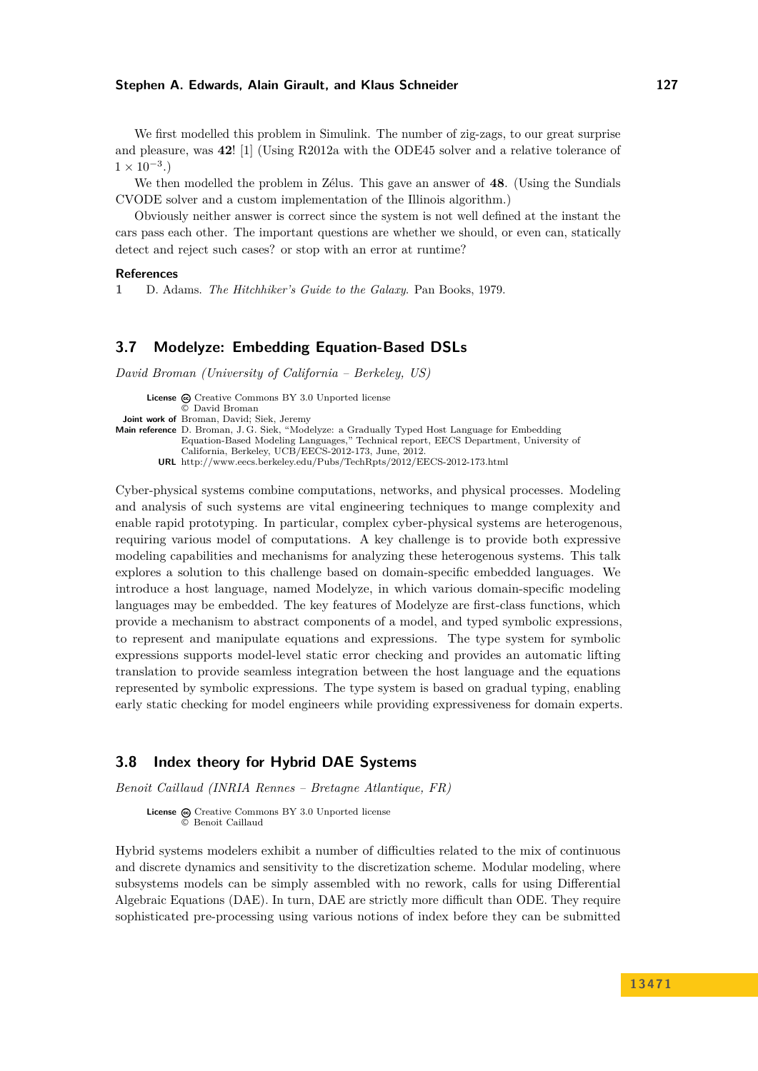#### **Stephen A. Edwards, Alain Girault, and Klaus Schneider 127**

We first modelled this problem in Simulink. The number of zig-zags, to our great surprise and pleasure, was **42**! [\[1\]](#page-10-2) (Using R2012a with the ODE45 solver and a relative tolerance of  $1 \times 10^{-3}$ .)

We then modelled the problem in Zélus. This gave an answer of **48**. (Using the Sundials CVODE solver and a custom implementation of the Illinois algorithm.)

Obviously neither answer is correct since the system is not well defined at the instant the cars pass each other. The important questions are whether we should, or even can, statically detect and reject such cases? or stop with an error at runtime?

#### **References**

<span id="page-10-2"></span>**1** D. Adams. *The Hitchhiker's Guide to the Galaxy*. Pan Books, 1979.

### <span id="page-10-0"></span>**3.7 Modelyze: Embedding Equation-Based DSLs**

*David Broman (University of California – Berkeley, US)*

**License**  $\textcircled{e}$  [Creative Commons BY 3.0 Unported](http://creativecommons.org/licenses/by/3.0/) license © [David Broman](#page-10-0) **Joint work of** Broman, David; Siek, Jeremy **Main reference** [D. Broman, J. G. Siek, "Modelyze: a Gradually Typed Host Language for Embedding](http://www.eecs.berkeley.edu/Pubs/TechRpts/2012/EECS-2012-173.html) [Equation-Based Modeling Languages," Technical report, EECS Department, University of](http://www.eecs.berkeley.edu/Pubs/TechRpts/2012/EECS-2012-173.html) [California, Berkeley, UCB/EECS-2012-173, June, 2012.](http://www.eecs.berkeley.edu/Pubs/TechRpts/2012/EECS-2012-173.html) **URL** <http://www.eecs.berkeley.edu/Pubs/TechRpts/2012/EECS-2012-173.html>

Cyber-physical systems combine computations, networks, and physical processes. Modeling and analysis of such systems are vital engineering techniques to mange complexity and enable rapid prototyping. In particular, complex cyber-physical systems are heterogenous, requiring various model of computations. A key challenge is to provide both expressive modeling capabilities and mechanisms for analyzing these heterogenous systems. This talk explores a solution to this challenge based on domain-specific embedded languages. We introduce a host language, named Modelyze, in which various domain-specific modeling languages may be embedded. The key features of Modelyze are first-class functions, which provide a mechanism to abstract components of a model, and typed symbolic expressions, to represent and manipulate equations and expressions. The type system for symbolic expressions supports model-level static error checking and provides an automatic lifting translation to provide seamless integration between the host language and the equations represented by symbolic expressions. The type system is based on gradual typing, enabling early static checking for model engineers while providing expressiveness for domain experts.

# <span id="page-10-1"></span>**3.8 Index theory for Hybrid DAE Systems**

*Benoit Caillaud (INRIA Rennes – Bretagne Atlantique, FR)*

License  $\textcircled{c}$  [Creative Commons BY 3.0 Unported](http://creativecommons.org/licenses/by/3.0/) license © [Benoit Caillaud](#page-10-1)

Hybrid systems modelers exhibit a number of difficulties related to the mix of continuous and discrete dynamics and sensitivity to the discretization scheme. Modular modeling, where subsystems models can be simply assembled with no rework, calls for using Differential Algebraic Equations (DAE). In turn, DAE are strictly more difficult than ODE. They require sophisticated pre-processing using various notions of index before they can be submitted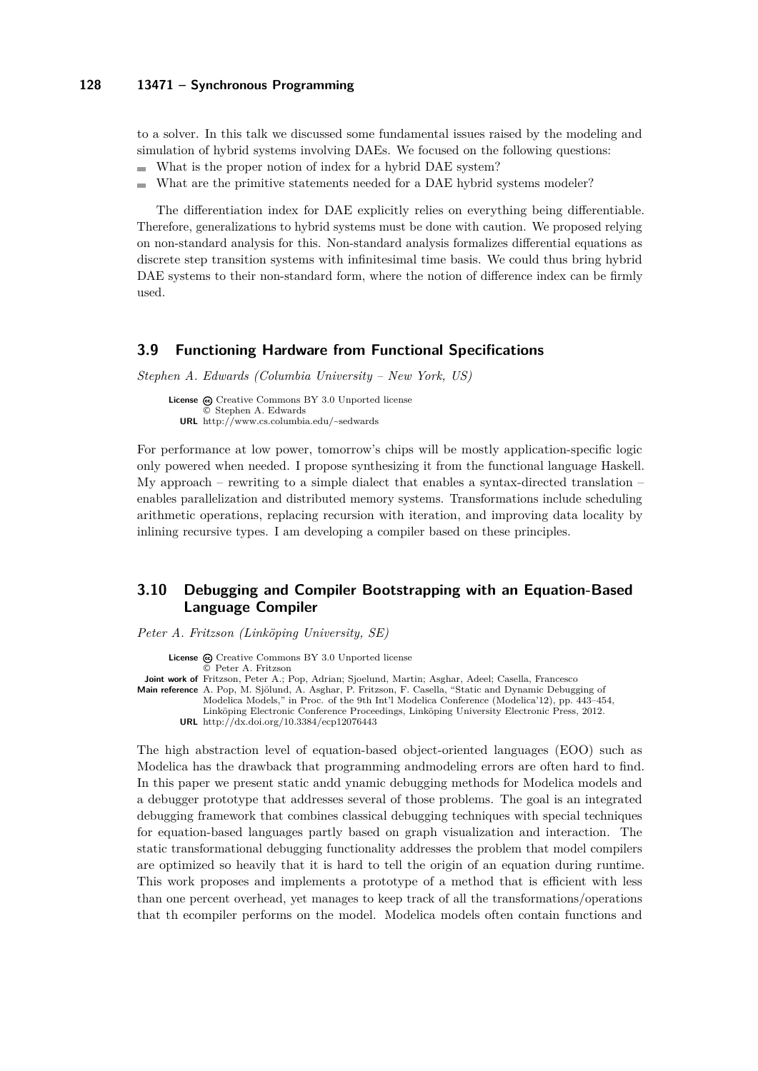#### **128 13471 – Synchronous Programming**

to a solver. In this talk we discussed some fundamental issues raised by the modeling and simulation of hybrid systems involving DAEs. We focused on the following questions:

- What is the proper notion of index for a hybrid DAE system?  $\overline{a}$
- What are the primitive statements needed for a DAE hybrid systems modeler?

The differentiation index for DAE explicitly relies on everything being differentiable. Therefore, generalizations to hybrid systems must be done with caution. We proposed relying on non-standard analysis for this. Non-standard analysis formalizes differential equations as discrete step transition systems with infinitesimal time basis. We could thus bring hybrid DAE systems to their non-standard form, where the notion of difference index can be firmly used.

#### <span id="page-11-0"></span>**3.9 Functioning Hardware from Functional Specifications**

*Stephen A. Edwards (Columbia University – New York, US)*

**License**  $\omega$  [Creative Commons BY 3.0 Unported](http://creativecommons.org/licenses/by/3.0/) license © [Stephen A. Edwards](#page-11-0) **URL** <http://www.cs.columbia.edu/~sedwards>

For performance at low power, tomorrow's chips will be mostly application-specific logic only powered when needed. I propose synthesizing it from the functional language Haskell. My approach – rewriting to a simple dialect that enables a syntax-directed translation – enables parallelization and distributed memory systems. Transformations include scheduling arithmetic operations, replacing recursion with iteration, and improving data locality by inlining recursive types. I am developing a compiler based on these principles.

# <span id="page-11-1"></span>**3.10 Debugging and Compiler Bootstrapping with an Equation-Based Language Compiler**

*Peter A. Fritzson (Linköping University, SE)*

License  $\textcircled{c}$  [Creative Commons BY 3.0 Unported](http://creativecommons.org/licenses/by/3.0/) license © [Peter A. Fritzson](#page-11-1) **Joint work of** Fritzson, Peter A.; Pop, Adrian; Sjoelund, Martin; Asghar, Adeel; Casella, Francesco **Main reference** [A. Pop, M. Sjölund, A. Asghar, P. Fritzson, F. Casella, "Static and Dynamic Debugging of](http://dx.doi.org/10.3384/ecp12076443) [Modelica Models," in Proc. of the 9th Int'l Modelica Conference \(Modelica'12\), pp. 443–454,](http://dx.doi.org/10.3384/ecp12076443) [Linköping Electronic Conference Proceedings, Linköping University Electronic Press, 2012.](http://dx.doi.org/10.3384/ecp12076443)

**URL** <http://dx.doi.org/10.3384/ecp12076443>

The high abstraction level of equation-based object-oriented languages (EOO) such as Modelica has the drawback that programming andmodeling errors are often hard to find. In this paper we present static andd ynamic debugging methods for Modelica models and a debugger prototype that addresses several of those problems. The goal is an integrated debugging framework that combines classical debugging techniques with special techniques for equation-based languages partly based on graph visualization and interaction. The static transformational debugging functionality addresses the problem that model compilers are optimized so heavily that it is hard to tell the origin of an equation during runtime. This work proposes and implements a prototype of a method that is efficient with less than one percent overhead, yet manages to keep track of all the transformations/operations that th ecompiler performs on the model. Modelica models often contain functions and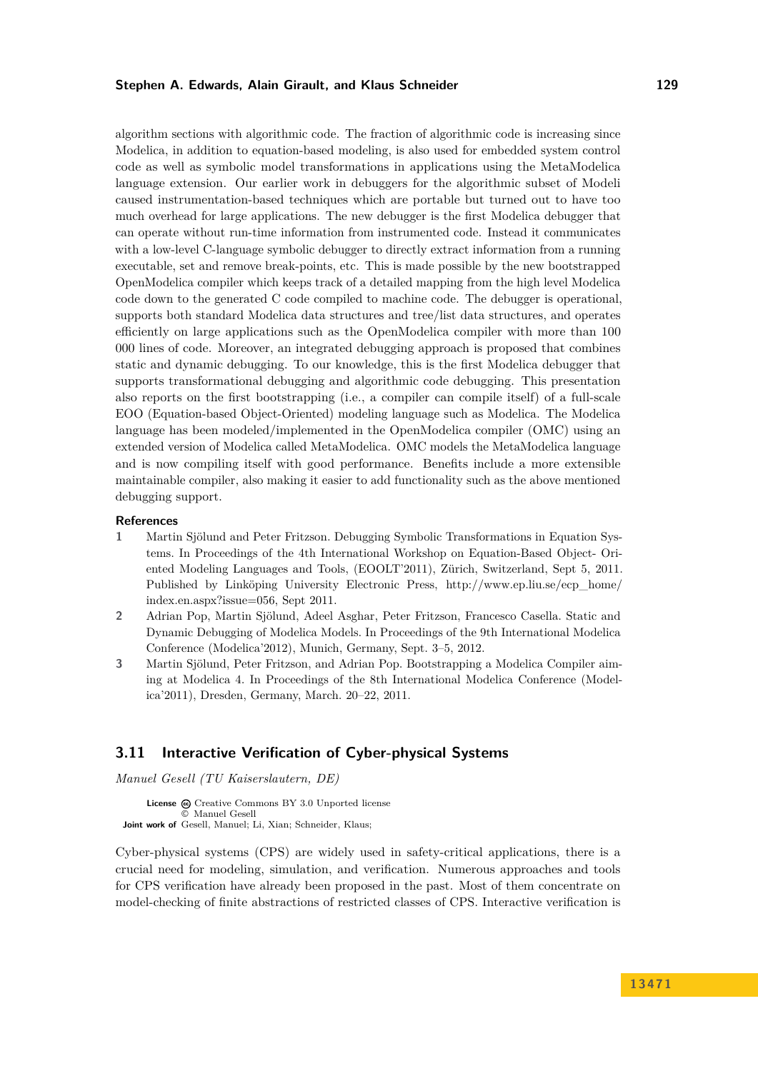#### **Stephen A. Edwards, Alain Girault, and Klaus Schneider 129**

algorithm sections with algorithmic code. The fraction of algorithmic code is increasing since Modelica, in addition to equation-based modeling, is also used for embedded system control code as well as symbolic model transformations in applications using the MetaModelica language extension. Our earlier work in debuggers for the algorithmic subset of Modeli caused instrumentation-based techniques which are portable but turned out to have too much overhead for large applications. The new debugger is the first Modelica debugger that can operate without run-time information from instrumented code. Instead it communicates with a low-level C-language symbolic debugger to directly extract information from a running executable, set and remove break-points, etc. This is made possible by the new bootstrapped OpenModelica compiler which keeps track of a detailed mapping from the high level Modelica code down to the generated C code compiled to machine code. The debugger is operational, supports both standard Modelica data structures and tree/list data structures, and operates efficiently on large applications such as the OpenModelica compiler with more than 100 000 lines of code. Moreover, an integrated debugging approach is proposed that combines static and dynamic debugging. To our knowledge, this is the first Modelica debugger that supports transformational debugging and algorithmic code debugging. This presentation also reports on the first bootstrapping (i.e., a compiler can compile itself) of a full-scale EOO (Equation-based Object-Oriented) modeling language such as Modelica. The Modelica language has been modeled/implemented in the OpenModelica compiler (OMC) using an extended version of Modelica called MetaModelica. OMC models the MetaModelica language and is now compiling itself with good performance. Benefits include a more extensible maintainable compiler, also making it easier to add functionality such as the above mentioned debugging support.

#### **References**

- **1** Martin Sjölund and Peter Fritzson. Debugging Symbolic Transformations in Equation Systems. In Proceedings of the 4th International Workshop on Equation-Based Object- Oriented Modeling Languages and Tools, (EOOLT'2011), Zürich, Switzerland, Sept 5, 2011. Published by Linköping University Electronic Press, [http://www.ep.liu.se/ecp\\_home/](http://www.ep.liu.se/ecp_home/index.en.aspx?issue=056) [index.en.aspx?issue=056,](http://www.ep.liu.se/ecp_home/index.en.aspx?issue=056) Sept 2011.
- **2** Adrian Pop, Martin Sjölund, Adeel Asghar, Peter Fritzson, Francesco Casella. Static and Dynamic Debugging of Modelica Models. In Proceedings of the 9th International Modelica Conference (Modelica'2012), Munich, Germany, Sept. 3–5, 2012.
- **3** Martin Sjölund, Peter Fritzson, and Adrian Pop. Bootstrapping a Modelica Compiler aiming at Modelica 4. In Proceedings of the 8th International Modelica Conference (Modelica'2011), Dresden, Germany, March. 20–22, 2011.

### <span id="page-12-0"></span>**3.11 Interactive Verification of Cyber-physical Systems**

*Manuel Gesell (TU Kaiserslautern, DE)*

**License**  $\textcircled{c}$  [Creative Commons BY 3.0 Unported](http://creativecommons.org/licenses/by/3.0/) license © [Manuel Gesell](#page-12-0) **Joint work of** Gesell, Manuel; Li, Xian; Schneider, Klaus;

Cyber-physical systems (CPS) are widely used in safety-critical applications, there is a crucial need for modeling, simulation, and verification. Numerous approaches and tools for CPS verification have already been proposed in the past. Most of them concentrate on model-checking of finite abstractions of restricted classes of CPS. Interactive verification is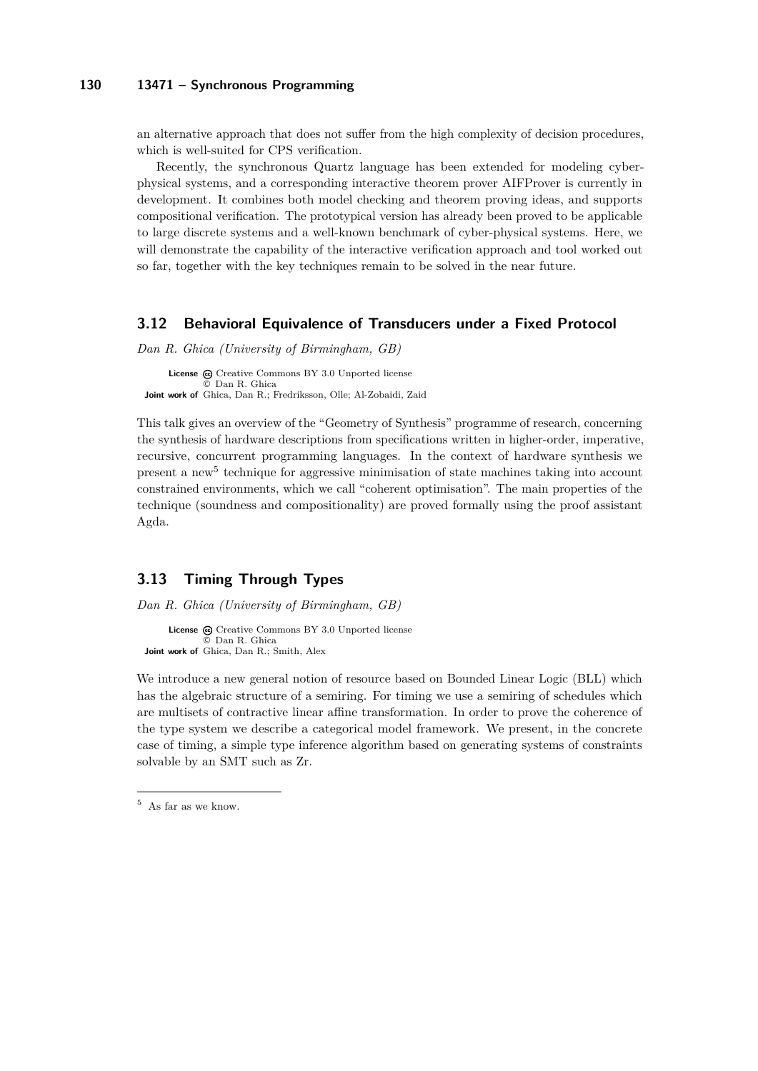#### **130 13471 – Synchronous Programming**

an alternative approach that does not suffer from the high complexity of decision procedures, which is well-suited for CPS verification.

Recently, the synchronous Quartz language has been extended for modeling cyberphysical systems, and a corresponding interactive theorem prover AIFProver is currently in development. It combines both model checking and theorem proving ideas, and supports compositional verification. The prototypical version has already been proved to be applicable to large discrete systems and a well-known benchmark of cyber-physical systems. Here, we will demonstrate the capability of the interactive verification approach and tool worked out so far, together with the key techniques remain to be solved in the near future.

#### <span id="page-13-0"></span>**3.12 Behavioral Equivalence of Transducers under a Fixed Protocol**

*Dan R. Ghica (University of Birmingham, GB)*

License  $\bigcirc$  [Creative Commons BY 3.0 Unported](http://creativecommons.org/licenses/by/3.0/) license © [Dan R. Ghica](#page-13-0) **Joint work of** Ghica, Dan R.; Fredriksson, Olle; Al-Zobaidi, Zaid

This talk gives an overview of the "Geometry of Synthesis" programme of research, concerning the synthesis of hardware descriptions from specifications written in higher-order, imperative, recursive, concurrent programming languages. In the context of hardware synthesis we present a new<sup>[5](#page-13-2)</sup> technique for aggressive minimisation of state machines taking into account constrained environments, which we call "coherent optimisation". The main properties of the technique (soundness and compositionality) are proved formally using the proof assistant Agda.

# <span id="page-13-1"></span>**3.13 Timing Through Types**

*Dan R. Ghica (University of Birmingham, GB)*

**License** @ [Creative Commons BY 3.0 Unported](http://creativecommons.org/licenses/by/3.0/) license © [Dan R. Ghica](#page-13-1) **Joint work of** Ghica, Dan R.; Smith, Alex

We introduce a new general notion of resource based on Bounded Linear Logic (BLL) which has the algebraic structure of a semiring. For timing we use a semiring of schedules which are multisets of contractive linear affine transformation. In order to prove the coherence of the type system we describe a categorical model framework. We present, in the concrete case of timing, a simple type inference algorithm based on generating systems of constraints solvable by an SMT such as Zr.

<span id="page-13-2"></span> $^5\,$  As far as we know.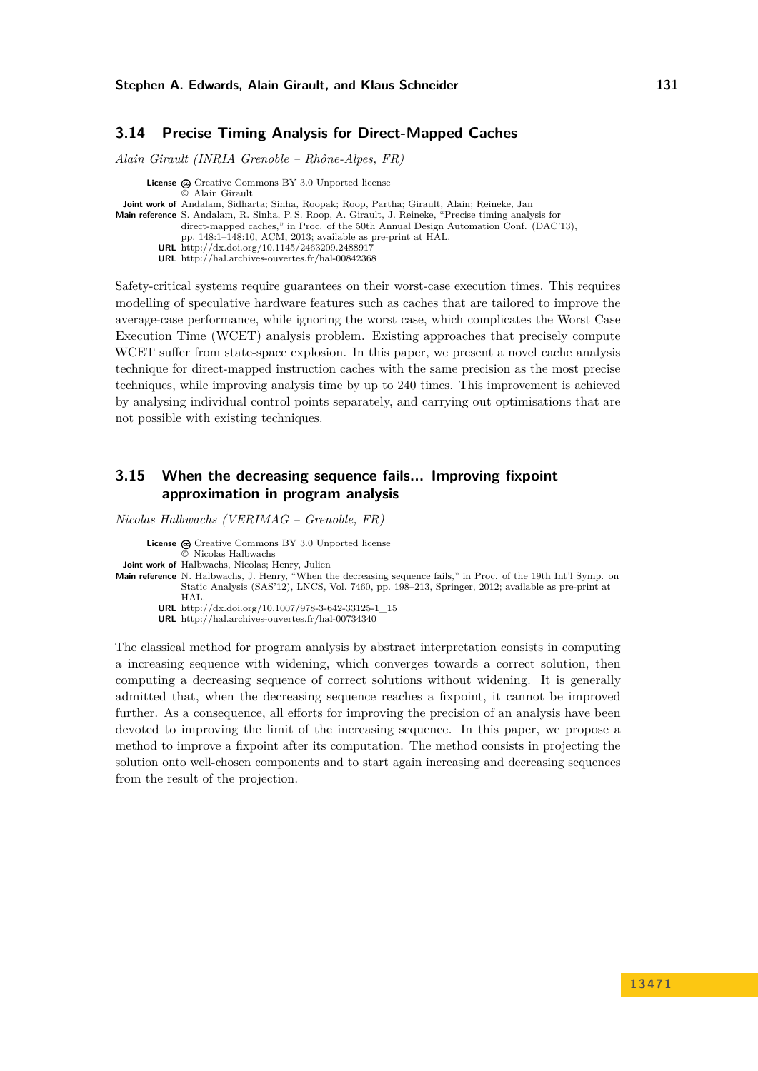### <span id="page-14-0"></span>**3.14 Precise Timing Analysis for Direct-Mapped Caches**

*Alain Girault (INRIA Grenoble – Rhône-Alpes, FR)*

**License**  $\odot$  [Creative Commons BY 3.0 Unported](http://creativecommons.org/licenses/by/3.0/) license © [Alain Girault](#page-14-0) **Joint work of** Andalam, Sidharta; Sinha, Roopak; Roop, Partha; Girault, Alain; Reineke, Jan **Main reference** [S. Andalam, R. Sinha, P. S. Roop, A. Girault, J. Reineke, "Precise timing analysis for](http://dx.doi.org/10.1145/2463209.2488917) [direct-mapped caches," in Proc. of the 50th Annual Design Automation Conf. \(DAC'13\),](http://dx.doi.org/10.1145/2463209.2488917) [pp. 148:1–148:10, ACM, 2013; available as pre-print at HAL.](http://dx.doi.org/10.1145/2463209.2488917) **URL** <http://dx.doi.org/10.1145/2463209.2488917> **URL** <http://hal.archives-ouvertes.fr/hal-00842368>

Safety-critical systems require guarantees on their worst-case execution times. This requires modelling of speculative hardware features such as caches that are tailored to improve the average-case performance, while ignoring the worst case, which complicates the Worst Case Execution Time (WCET) analysis problem. Existing approaches that precisely compute WCET suffer from state-space explosion. In this paper, we present a novel cache analysis technique for direct-mapped instruction caches with the same precision as the most precise techniques, while improving analysis time by up to 240 times. This improvement is achieved by analysing individual control points separately, and carrying out optimisations that are not possible with existing techniques.

# <span id="page-14-1"></span>**3.15 When the decreasing sequence fails... Improving fixpoint approximation in program analysis**

*Nicolas Halbwachs (VERIMAG – Grenoble, FR)*

**License**  $\textcircled{c}$  [Creative Commons BY 3.0 Unported](http://creativecommons.org/licenses/by/3.0/) license

- © [Nicolas Halbwachs](#page-14-1)
- **Joint work of** Halbwachs, Nicolas; Henry, Julien
- **Main reference** [N. Halbwachs, J. Henry, "When the decreasing sequence fails," in Proc. of the 19th Int'l Symp. on](http://dx.doi.org/10.1007/978-3-642-33125-1_15) [Static Analysis \(SAS'12\), LNCS, Vol. 7460, pp. 198–213, Springer, 2012; available as pre-print at](http://dx.doi.org/10.1007/978-3-642-33125-1_15) [HAL.](http://dx.doi.org/10.1007/978-3-642-33125-1_15)
	- **URL** [http://dx.doi.org/10.1007/978-3-642-33125-1\\_15](http://dx.doi.org/10.1007/978-3-642-33125-1_15)
	- **URL** <http://hal.archives-ouvertes.fr/hal-00734340>

The classical method for program analysis by abstract interpretation consists in computing a increasing sequence with widening, which converges towards a correct solution, then computing a decreasing sequence of correct solutions without widening. It is generally admitted that, when the decreasing sequence reaches a fixpoint, it cannot be improved further. As a consequence, all efforts for improving the precision of an analysis have been devoted to improving the limit of the increasing sequence. In this paper, we propose a method to improve a fixpoint after its computation. The method consists in projecting the solution onto well-chosen components and to start again increasing and decreasing sequences from the result of the projection.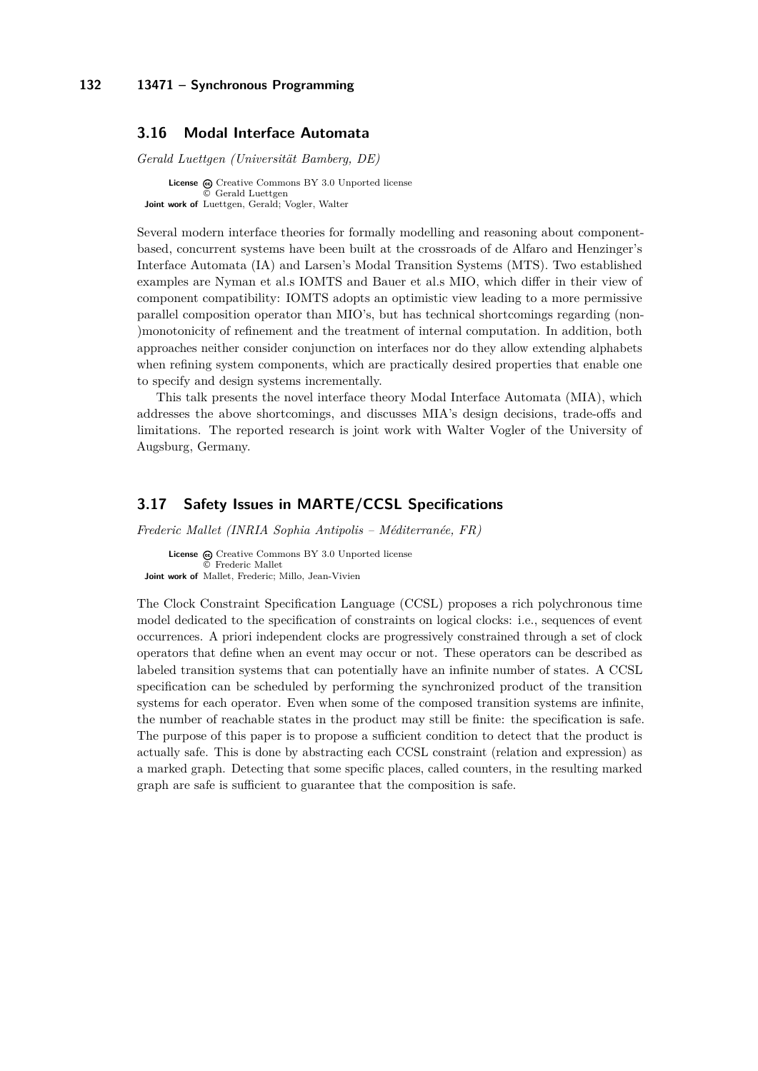### <span id="page-15-0"></span>**3.16 Modal Interface Automata**

*Gerald Luettgen (Universität Bamberg, DE)*

**License**  $\textcircled{e}$  [Creative Commons BY 3.0 Unported](http://creativecommons.org/licenses/by/3.0/) license [Gerald Luettgen](#page-15-0) **Joint work of** Luettgen, Gerald; Vogler, Walter

Several modern interface theories for formally modelling and reasoning about componentbased, concurrent systems have been built at the crossroads of de Alfaro and Henzinger's Interface Automata (IA) and Larsen's Modal Transition Systems (MTS). Two established examples are Nyman et al.s IOMTS and Bauer et al.s MIO, which differ in their view of component compatibility: IOMTS adopts an optimistic view leading to a more permissive parallel composition operator than MIO's, but has technical shortcomings regarding (non- )monotonicity of refinement and the treatment of internal computation. In addition, both approaches neither consider conjunction on interfaces nor do they allow extending alphabets when refining system components, which are practically desired properties that enable one to specify and design systems incrementally.

This talk presents the novel interface theory Modal Interface Automata (MIA), which addresses the above shortcomings, and discusses MIA's design decisions, trade-offs and limitations. The reported research is joint work with Walter Vogler of the University of Augsburg, Germany.

# <span id="page-15-1"></span>**3.17 Safety Issues in MARTE/CCSL Specifications**

*Frederic Mallet (INRIA Sophia Antipolis – Méditerranée, FR)*

License  $\bigcirc$  [Creative Commons BY 3.0 Unported](http://creativecommons.org/licenses/by/3.0/) license © [Frederic Mallet](#page-15-1) **Joint work of** Mallet, Frederic; Millo, Jean-Vivien

The Clock Constraint Specification Language (CCSL) proposes a rich polychronous time model dedicated to the specification of constraints on logical clocks: i.e., sequences of event occurrences. A priori independent clocks are progressively constrained through a set of clock operators that define when an event may occur or not. These operators can be described as labeled transition systems that can potentially have an infinite number of states. A CCSL specification can be scheduled by performing the synchronized product of the transition systems for each operator. Even when some of the composed transition systems are infinite, the number of reachable states in the product may still be finite: the specification is safe. The purpose of this paper is to propose a sufficient condition to detect that the product is actually safe. This is done by abstracting each CCSL constraint (relation and expression) as a marked graph. Detecting that some specific places, called counters, in the resulting marked graph are safe is sufficient to guarantee that the composition is safe.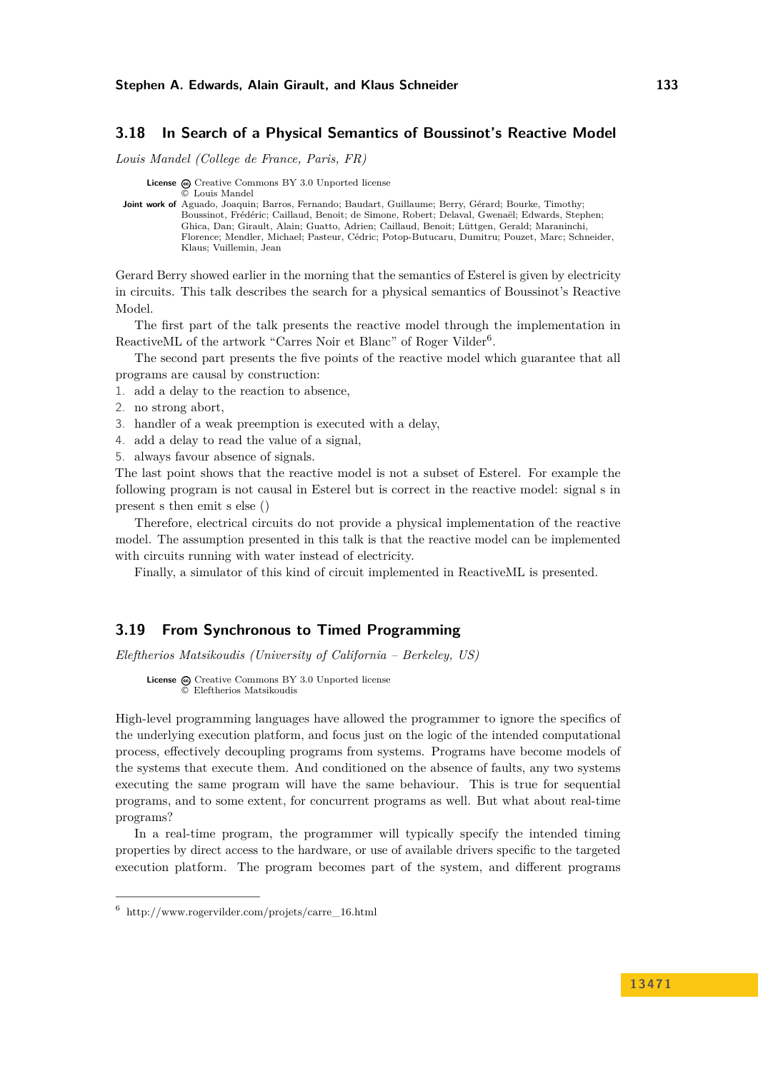### <span id="page-16-0"></span>**3.18 In Search of a Physical Semantics of Boussinot's Reactive Model**

*Louis Mandel (College de France, Paris, FR)*

License  $\textcircled{c}$  [Creative Commons BY 3.0 Unported](http://creativecommons.org/licenses/by/3.0/) license © [Louis Mandel](#page-16-0)

**Joint work of** Aguado, Joaquin; Barros, Fernando; Baudart, Guillaume; Berry, Gérard; Bourke, Timothy; Boussinot, Frédéric; Caillaud, Benoit; de Simone, Robert; Delaval, Gwenaël; Edwards, Stephen; Ghica, Dan; Girault, Alain; Guatto, Adrien; Caillaud, Benoit; Lüttgen, Gerald; Maraninchi, Florence; Mendler, Michael; Pasteur, Cédric; Potop-Butucaru, Dumitru; Pouzet, Marc; Schneider, Klaus; Vuillemin, Jean

Gerard Berry showed earlier in the morning that the semantics of Esterel is given by electricity in circuits. This talk describes the search for a physical semantics of Boussinot's Reactive Model.

The first part of the talk presents the reactive model through the implementation in ReactiveML of the artwork "Carres Noir et Blanc" of Roger Vilder<sup>[6](#page-16-2)</sup>.

The second part presents the five points of the reactive model which guarantee that all programs are causal by construction:

- 1. add a delay to the reaction to absence,
- 2. no strong abort,
- 3. handler of a weak preemption is executed with a delay,
- 4. add a delay to read the value of a signal,
- 5. always favour absence of signals.

The last point shows that the reactive model is not a subset of Esterel. For example the following program is not causal in Esterel but is correct in the reactive model: signal s in present s then emit s else ()

Therefore, electrical circuits do not provide a physical implementation of the reactive model. The assumption presented in this talk is that the reactive model can be implemented with circuits running with water instead of electricity.

Finally, a simulator of this kind of circuit implemented in ReactiveML is presented.

### <span id="page-16-1"></span>**3.19 From Synchronous to Timed Programming**

*Eleftherios Matsikoudis (University of California – Berkeley, US)*

**License**  $\textcircled{e}$  [Creative Commons BY 3.0 Unported](http://creativecommons.org/licenses/by/3.0/) license © [Eleftherios Matsikoudis](#page-16-1)

High-level programming languages have allowed the programmer to ignore the specifics of the underlying execution platform, and focus just on the logic of the intended computational process, effectively decoupling programs from systems. Programs have become models of the systems that execute them. And conditioned on the absence of faults, any two systems executing the same program will have the same behaviour. This is true for sequential programs, and to some extent, for concurrent programs as well. But what about real-time programs?

In a real-time program, the programmer will typically specify the intended timing properties by direct access to the hardware, or use of available drivers specific to the targeted execution platform. The program becomes part of the system, and different programs

<span id="page-16-2"></span> $6$  [http://www.rogervilder.com/projets/carre\\_16.html](http://www.rogervilder.com/projets/carre_16.html)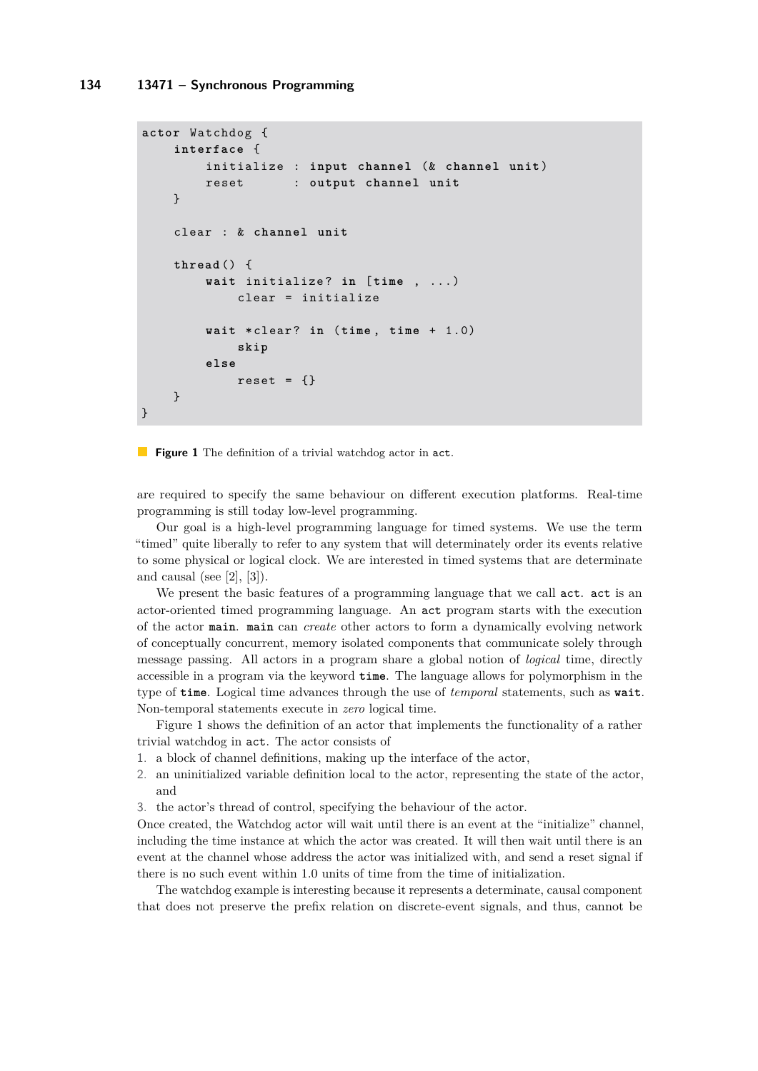```
actor Watchdog {
    interface {
        initialize : input channel (& channel unit )
        reset : output channel unit
    }
    clear : & channel unit
    thread () {
        wait initialize ? in [ time , ...)
             clear = initialize
        wait * clear ? in (time , time + 1.0)
             skip
        else
            reset = \{\}}
}
```
**Figure 1** The definition of a trivial watchdog actor in act.

are required to specify the same behaviour on different execution platforms. Real-time programming is still today low-level programming.

Our goal is a high-level programming language for timed systems. We use the term "timed" quite liberally to refer to any system that will determinately order its events relative to some physical or logical clock. We are interested in timed systems that are determinate and causal (see  $[2]$ ,  $[3]$ ).

We present the basic features of a programming language that we call act. act is an actor-oriented timed programming language. An act program starts with the execution of the actor **main**. **main** can *create* other actors to form a dynamically evolving network of conceptually concurrent, memory isolated components that communicate solely through message passing. All actors in a program share a global notion of *logical* time, directly accessible in a program via the keyword **time**. The language allows for polymorphism in the type of **time**. Logical time advances through the use of *temporal* statements, such as **wait**. Non-temporal statements execute in *zero* logical time.

Figure [1](#page-17-0) shows the definition of an actor that implements the functionality of a rather trivial watchdog in act. The actor consists of

- 1. a block of channel definitions, making up the interface of the actor,
- 2. an uninitialized variable definition local to the actor, representing the state of the actor, and
- 3. the actor's thread of control, specifying the behaviour of the actor.

Once created, the Watchdog actor will wait until there is an event at the "initialize" channel, including the time instance at which the actor was created. It will then wait until there is an event at the channel whose address the actor was initialized with, and send a reset signal if there is no such event within 1.0 units of time from the time of initialization.

The watchdog example is interesting because it represents a determinate, causal component that does not preserve the prefix relation on discrete-event signals, and thus, cannot be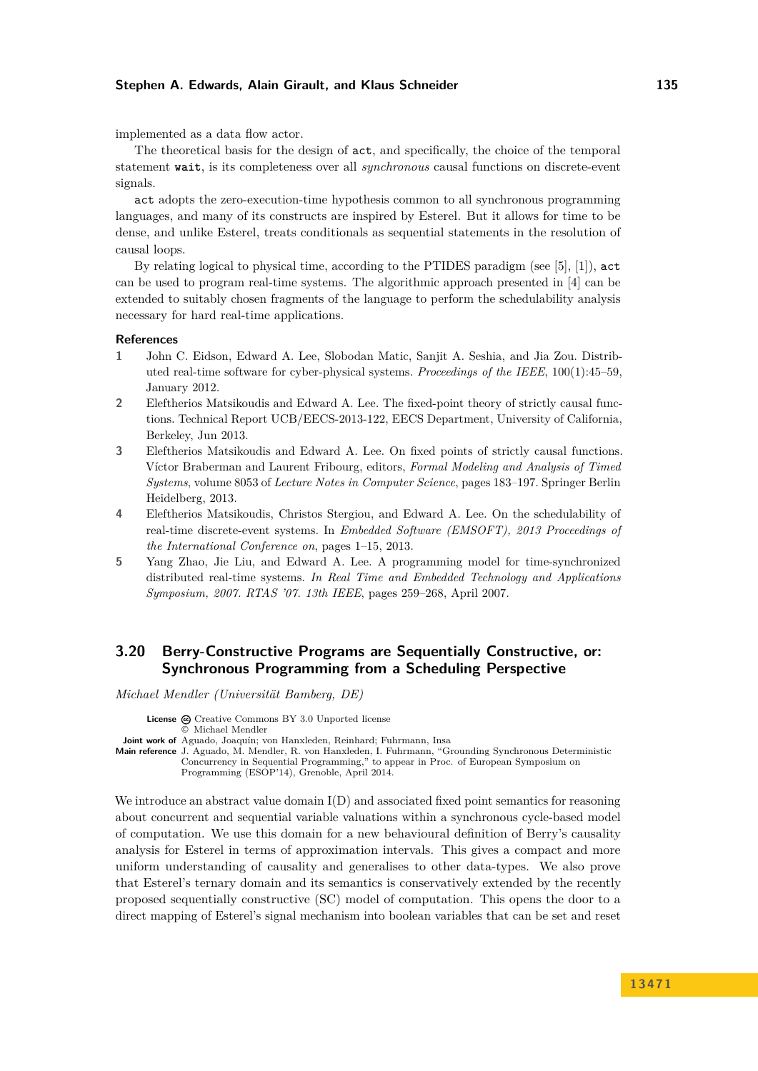#### **Stephen A. Edwards, Alain Girault, and Klaus Schneider 135**

implemented as a data flow actor.

The theoretical basis for the design of act, and specifically, the choice of the temporal statement **wait**, is its completeness over all *synchronous* causal functions on discrete-event signals.

act adopts the zero-execution-time hypothesis common to all synchronous programming languages, and many of its constructs are inspired by Esterel. But it allows for time to be dense, and unlike Esterel, treats conditionals as sequential statements in the resolution of causal loops.

By relating logical to physical time, according to the PTIDES paradigm (see [\[5\]](#page-18-3), [\[1\]](#page-18-4)), act can be used to program real-time systems. The algorithmic approach presented in [\[4\]](#page-18-5) can be extended to suitably chosen fragments of the language to perform the schedulability analysis necessary for hard real-time applications.

#### **References**

- <span id="page-18-4"></span>**1** John C. Eidson, Edward A. Lee, Slobodan Matic, Sanjit A. Seshia, and Jia Zou. Distributed real-time software for cyber-physical systems. *Proceedings of the IEEE*, 100(1):45–59, January 2012.
- <span id="page-18-1"></span>**2** Eleftherios Matsikoudis and Edward A. Lee. The fixed-point theory of strictly causal functions. Technical Report UCB/EECS-2013-122, EECS Department, University of California, Berkeley, Jun 2013.
- <span id="page-18-2"></span>**3** Eleftherios Matsikoudis and Edward A. Lee. On fixed points of strictly causal functions. Víctor Braberman and Laurent Fribourg, editors, *Formal Modeling and Analysis of Timed Systems*, volume 8053 of *Lecture Notes in Computer Science*, pages 183–197. Springer Berlin Heidelberg, 2013.
- <span id="page-18-5"></span>**4** Eleftherios Matsikoudis, Christos Stergiou, and Edward A. Lee. On the schedulability of real-time discrete-event systems. In *Embedded Software (EMSOFT), 2013 Proceedings of the International Conference on*, pages 1–15, 2013.
- <span id="page-18-3"></span>**5** Yang Zhao, Jie Liu, and Edward A. Lee. A programming model for time-synchronized distributed real-time systems. *In Real Time and Embedded Technology and Applications Symposium, 2007. RTAS '07. 13th IEEE*, pages 259–268, April 2007.

# <span id="page-18-0"></span>**3.20 Berry-Constructive Programs are Sequentially Constructive, or: Synchronous Programming from a Scheduling Perspective**

*Michael Mendler (Universität Bamberg, DE)*

**License**  $\textcircled{e}$  [Creative Commons BY 3.0 Unported](http://creativecommons.org/licenses/by/3.0/) license © [Michael Mendler](#page-18-0)

**Joint work of** Aguado, Joaquín; von Hanxleden, Reinhard; Fuhrmann, Insa

**Main reference** [J. Aguado, M. Mendler, R. von Hanxleden, I. Fuhrmann, "Grounding Synchronous Deterministic](J. Aguado, M. Mendler, R. von Hanxleden, I. Fuhrmann, ``Grounding Synchronous Deterministic Concurrency in Sequential Programming,) [Concurrency in Sequential Programming," to appear in Proc. of European Symposium on](J. Aguado, M. Mendler, R. von Hanxleden, I. Fuhrmann, ``Grounding Synchronous Deterministic Concurrency in Sequential Programming,) [Programming \(ESOP'14\), Grenoble, April 2014.](J. Aguado, M. Mendler, R. von Hanxleden, I. Fuhrmann, ``Grounding Synchronous Deterministic Concurrency in Sequential Programming,)

We introduce an abstract value domain  $I(D)$  and associated fixed point semantics for reasoning about concurrent and sequential variable valuations within a synchronous cycle-based model of computation. We use this domain for a new behavioural definition of Berry's causality analysis for Esterel in terms of approximation intervals. This gives a compact and more uniform understanding of causality and generalises to other data-types. We also prove that Esterel's ternary domain and its semantics is conservatively extended by the recently proposed sequentially constructive (SC) model of computation. This opens the door to a direct mapping of Esterel's signal mechanism into boolean variables that can be set and reset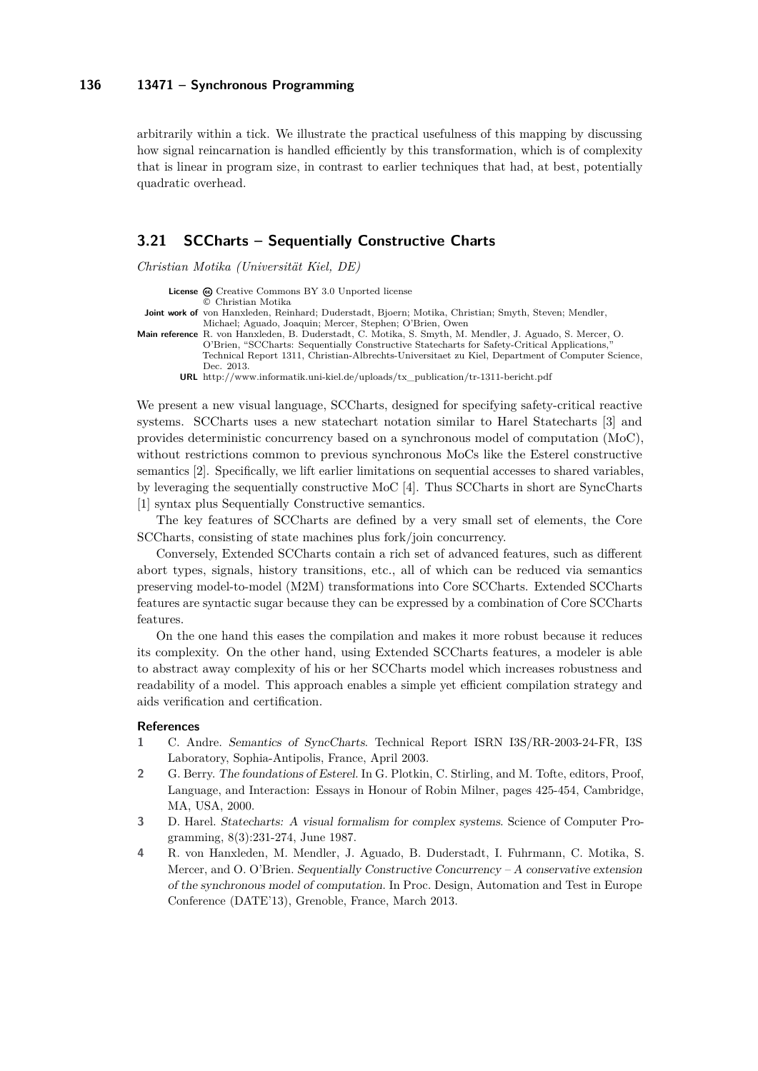arbitrarily within a tick. We illustrate the practical usefulness of this mapping by discussing how signal reincarnation is handled efficiently by this transformation, which is of complexity that is linear in program size, in contrast to earlier techniques that had, at best, potentially quadratic overhead.

### <span id="page-19-0"></span>**3.21 SCCharts – Sequentially Constructive Charts**

*Christian Motika (Universität Kiel, DE)*

License  $\bigcirc$  [Creative Commons BY 3.0 Unported](http://creativecommons.org/licenses/by/3.0/) license © [Christian Motika](#page-19-0)

**Joint work of** von Hanxleden, Reinhard; Duderstadt, Bjoern; Motika, Christian; Smyth, Steven; Mendler, Michael; Aguado, Joaquin; Mercer, Stephen; O'Brien, Owen

**Main reference** [R. von Hanxleden, B. Duderstadt, C. Motika, S. Smyth, M. Mendler, J. Aguado, S. Mercer, O.](http://d-nb.info/1047415542) [O'Brien, "SCCharts: Sequentially Constructive Statecharts for Safety-Critical Applications,"](http://d-nb.info/1047415542) [Technical Report 1311, Christian-Albrechts-Universitaet zu Kiel, Department of Computer Science,](http://d-nb.info/1047415542) [Dec. 2013.](http://d-nb.info/1047415542)

**URL** [http://www.informatik.uni-kiel.de/uploads/tx\\_publication/tr-1311-bericht.pdf](http://www.informatik.uni-kiel.de/uploads/tx_publication/tr-1311-bericht.pdf)

We present a new visual language, SCCharts, designed for specifying safety-critical reactive systems. SCCharts uses a new statechart notation similar to Harel Statecharts [\[3\]](#page-19-1) and provides deterministic concurrency based on a synchronous model of computation (MoC), without restrictions common to previous synchronous MoCs like the Esterel constructive semantics [\[2\]](#page-19-2). Specifically, we lift earlier limitations on sequential accesses to shared variables, by leveraging the sequentially constructive MoC [\[4\]](#page-19-3). Thus SCCharts in short are SyncCharts [\[1\]](#page-19-4) syntax plus Sequentially Constructive semantics.

The key features of SCCharts are defined by a very small set of elements, the Core SCCharts, consisting of state machines plus fork/join concurrency.

Conversely, Extended SCCharts contain a rich set of advanced features, such as different abort types, signals, history transitions, etc., all of which can be reduced via semantics preserving model-to-model (M2M) transformations into Core SCCharts. Extended SCCharts features are syntactic sugar because they can be expressed by a combination of Core SCCharts features.

On the one hand this eases the compilation and makes it more robust because it reduces its complexity. On the other hand, using Extended SCCharts features, a modeler is able to abstract away complexity of his or her SCCharts model which increases robustness and readability of a model. This approach enables a simple yet efficient compilation strategy and aids verification and certification.

#### **References**

- <span id="page-19-4"></span>**1** C. Andre. Semantics of SyncCharts. Technical Report ISRN I3S/RR-2003-24-FR, I3S Laboratory, Sophia-Antipolis, France, April 2003.
- <span id="page-19-2"></span>**2** G. Berry. The foundations of Esterel. In G. Plotkin, C. Stirling, and M. Tofte, editors, Proof, Language, and Interaction: Essays in Honour of Robin Milner, pages 425-454, Cambridge, MA, USA, 2000.
- <span id="page-19-1"></span>**3** D. Harel. Statecharts: A visual formalism for complex systems. Science of Computer Programming, 8(3):231-274, June 1987.
- <span id="page-19-3"></span>**4** R. von Hanxleden, M. Mendler, J. Aguado, B. Duderstadt, I. Fuhrmann, C. Motika, S. Mercer, and O. O'Brien. Sequentially Constructive Concurrency – A conservative extension of the synchronous model of computation. In Proc. Design, Automation and Test in Europe Conference (DATE'13), Grenoble, France, March 2013.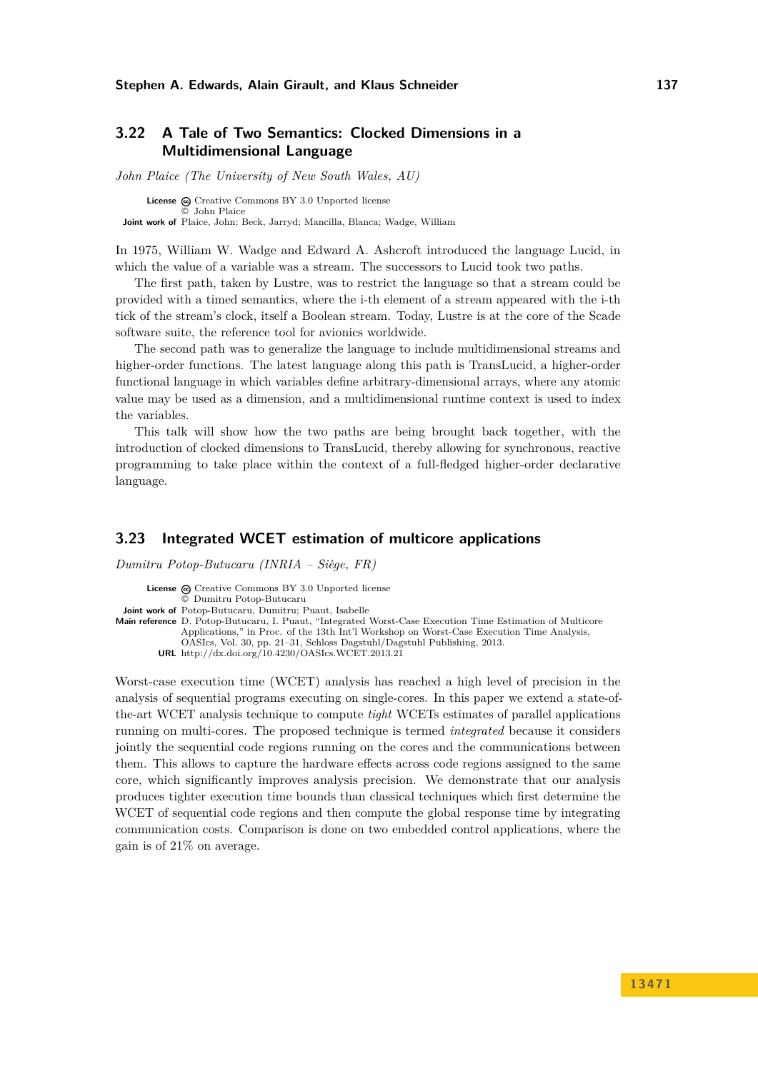# <span id="page-20-0"></span>**3.22 A Tale of Two Semantics: Clocked Dimensions in a Multidimensional Language**

*John Plaice (The University of New South Wales, AU)*

**License**  $\textcircled{e}$  [Creative Commons BY 3.0 Unported](http://creativecommons.org/licenses/by/3.0/) license © [John Plaice](#page-20-0) **Joint work of** Plaice, John; Beck, Jarryd; Mancilla, Blanca; Wadge, William

In 1975, William W. Wadge and Edward A. Ashcroft introduced the language Lucid, in which the value of a variable was a stream. The successors to Lucid took two paths.

The first path, taken by Lustre, was to restrict the language so that a stream could be provided with a timed semantics, where the i-th element of a stream appeared with the i-th tick of the stream's clock, itself a Boolean stream. Today, Lustre is at the core of the Scade software suite, the reference tool for avionics worldwide.

The second path was to generalize the language to include multidimensional streams and higher-order functions. The latest language along this path is TransLucid, a higher-order functional language in which variables define arbitrary-dimensional arrays, where any atomic value may be used as a dimension, and a multidimensional runtime context is used to index the variables.

This talk will show how the two paths are being brought back together, with the introduction of clocked dimensions to TransLucid, thereby allowing for synchronous, reactive programming to take place within the context of a full-fledged higher-order declarative language.

### <span id="page-20-1"></span>**3.23 Integrated WCET estimation of multicore applications**

*Dumitru Potop-Butucaru (INRIA – Siège, FR)*

License  $\textcircled{a}$  [Creative Commons BY 3.0 Unported](http://creativecommons.org/licenses/by/3.0/) license © [Dumitru Potop-Butucaru](#page-20-1) **Joint work of** Potop-Butucaru, Dumitru; Puaut, Isabelle **Main reference** [D. Potop-Butucaru, I. Puaut, "Integrated Worst-Case Execution Time Estimation of Multicore](http://dx.doi.org/10.4230/OASIcs.WCET.2013.21) [Applications," in Proc. of the 13th Int'l Workshop on Worst-Case Execution Time Analysis,](http://dx.doi.org/10.4230/OASIcs.WCET.2013.21) [OASIcs, Vol. 30, pp. 21–31, Schloss Dagstuhl/Dagstuhl Publishing, 2013.](http://dx.doi.org/10.4230/OASIcs.WCET.2013.21)

Worst-case execution time (WCET) analysis has reached a high level of precision in the analysis of sequential programs executing on single-cores. In this paper we extend a state-ofthe-art WCET analysis technique to compute *tight* WCETs estimates of parallel applications running on multi-cores. The proposed technique is termed *integrated* because it considers jointly the sequential code regions running on the cores and the communications between them. This allows to capture the hardware effects across code regions assigned to the same core, which significantly improves analysis precision. We demonstrate that our analysis produces tighter execution time bounds than classical techniques which first determine the WCET of sequential code regions and then compute the global response time by integrating communication costs. Comparison is done on two embedded control applications, where the gain is of 21% on average.

**URL** <http://dx.doi.org/10.4230/OASIcs.WCET.2013.21>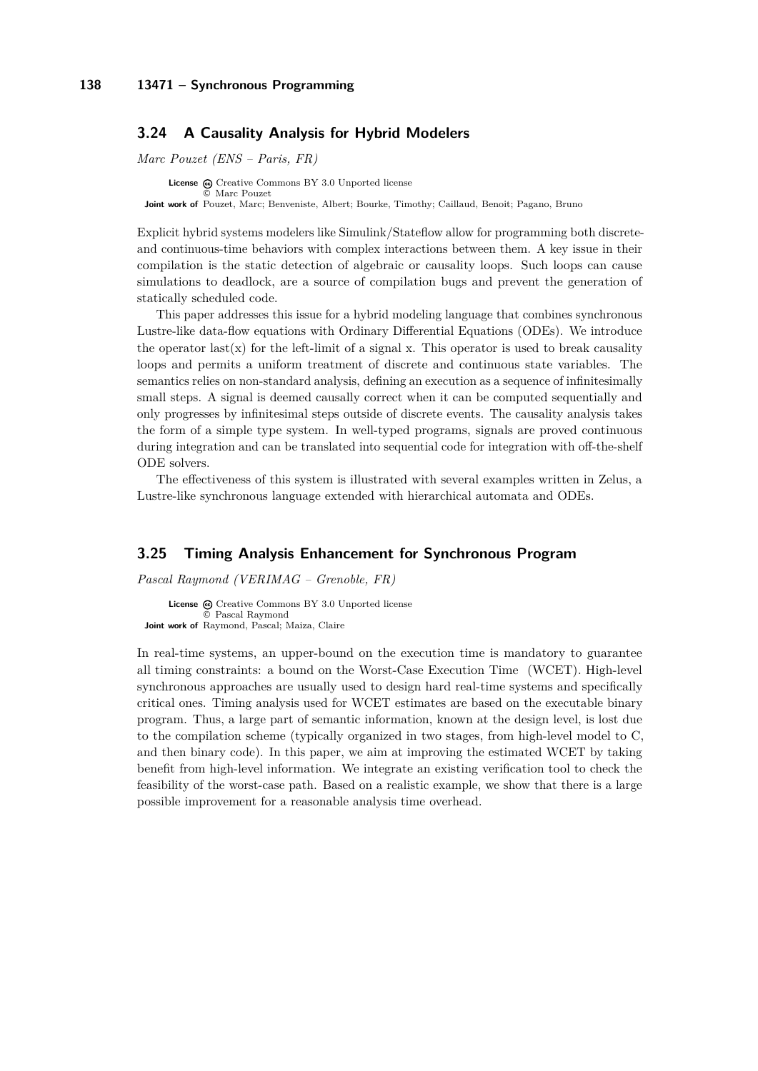### <span id="page-21-0"></span>**3.24 A Causality Analysis for Hybrid Modelers**

*Marc Pouzet (ENS – Paris, FR)*

**License**  $\odot$  [Creative Commons BY 3.0 Unported](http://creativecommons.org/licenses/by/3.0/) license © [Marc Pouzet](#page-21-0) **Joint work of** Pouzet, Marc; Benveniste, Albert; Bourke, Timothy; Caillaud, Benoit; Pagano, Bruno

Explicit hybrid systems modelers like Simulink/Stateflow allow for programming both discreteand continuous-time behaviors with complex interactions between them. A key issue in their compilation is the static detection of algebraic or causality loops. Such loops can cause simulations to deadlock, are a source of compilation bugs and prevent the generation of statically scheduled code.

This paper addresses this issue for a hybrid modeling language that combines synchronous Lustre-like data-flow equations with Ordinary Differential Equations (ODEs). We introduce the operator last(x) for the left-limit of a signal x. This operator is used to break causality loops and permits a uniform treatment of discrete and continuous state variables. The semantics relies on non-standard analysis, defining an execution as a sequence of infinitesimally small steps. A signal is deemed causally correct when it can be computed sequentially and only progresses by infinitesimal steps outside of discrete events. The causality analysis takes the form of a simple type system. In well-typed programs, signals are proved continuous during integration and can be translated into sequential code for integration with off-the-shelf ODE solvers.

The effectiveness of this system is illustrated with several examples written in Zelus, a Lustre-like synchronous language extended with hierarchical automata and ODEs.

# <span id="page-21-1"></span>**3.25 Timing Analysis Enhancement for Synchronous Program**

*Pascal Raymond (VERIMAG – Grenoble, FR)*

```
License \textcircled{c}Creative Commons BY 3.0 Unported license
              © Pascal Raymond
Joint work of Raymond, Pascal; Maiza, Claire
```
In real-time systems, an upper-bound on the execution time is mandatory to guarantee all timing constraints: a bound on the Worst-Case Execution Time (WCET). High-level synchronous approaches are usually used to design hard real-time systems and specifically critical ones. Timing analysis used for WCET estimates are based on the executable binary program. Thus, a large part of semantic information, known at the design level, is lost due to the compilation scheme (typically organized in two stages, from high-level model to C, and then binary code). In this paper, we aim at improving the estimated WCET by taking benefit from high-level information. We integrate an existing verification tool to check the feasibility of the worst-case path. Based on a realistic example, we show that there is a large possible improvement for a reasonable analysis time overhead.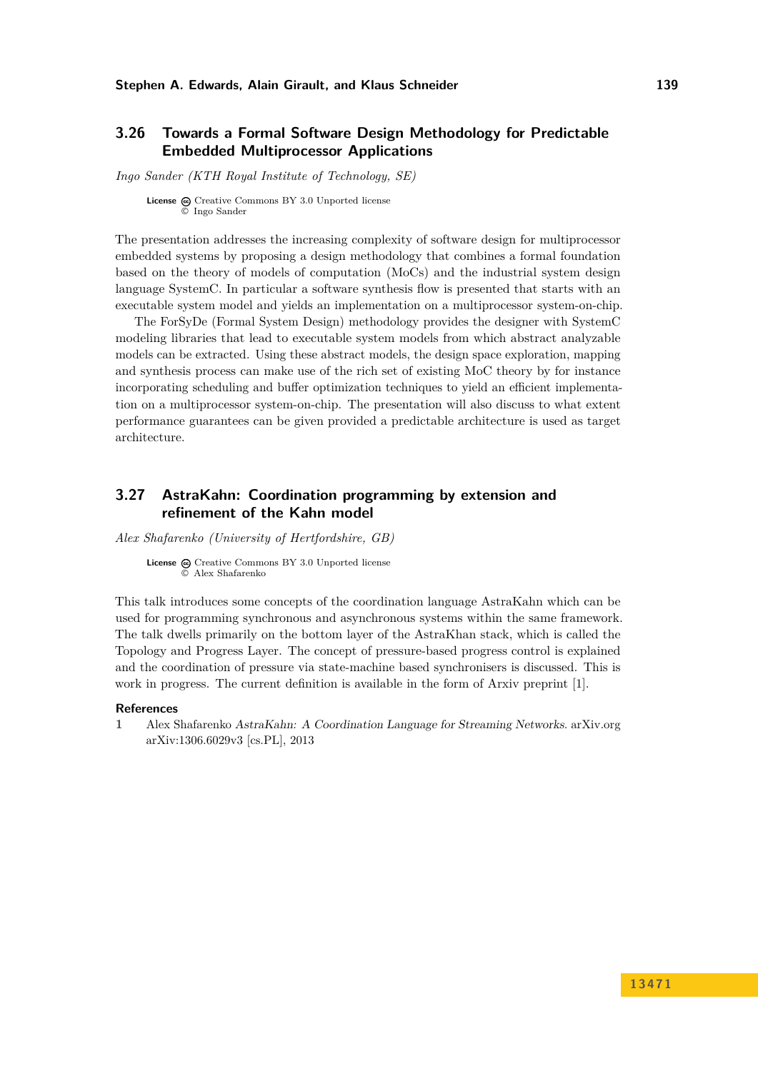# <span id="page-22-0"></span>**3.26 Towards a Formal Software Design Methodology for Predictable Embedded Multiprocessor Applications**

*Ingo Sander (KTH Royal Institute of Technology, SE)*

**License**  $\textcircled{c}$  [Creative Commons BY 3.0 Unported](http://creativecommons.org/licenses/by/3.0/) license © [Ingo Sander](#page-22-0)

The presentation addresses the increasing complexity of software design for multiprocessor embedded systems by proposing a design methodology that combines a formal foundation based on the theory of models of computation (MoCs) and the industrial system design language SystemC. In particular a software synthesis flow is presented that starts with an executable system model and yields an implementation on a multiprocessor system-on-chip.

The ForSyDe (Formal System Design) methodology provides the designer with SystemC modeling libraries that lead to executable system models from which abstract analyzable models can be extracted. Using these abstract models, the design space exploration, mapping and synthesis process can make use of the rich set of existing MoC theory by for instance incorporating scheduling and buffer optimization techniques to yield an efficient implementation on a multiprocessor system-on-chip. The presentation will also discuss to what extent performance guarantees can be given provided a predictable architecture is used as target architecture.

# <span id="page-22-1"></span>**3.27 AstraKahn: Coordination programming by extension and refinement of the Kahn model**

*Alex Shafarenko (University of Hertfordshire, GB)*

**License**  $\textcircled{e}$  [Creative Commons BY 3.0 Unported](http://creativecommons.org/licenses/by/3.0/) license © [Alex Shafarenko](#page-22-1)

This talk introduces some concepts of the coordination language AstraKahn which can be used for programming synchronous and asynchronous systems within the same framework. The talk dwells primarily on the bottom layer of the AstraKhan stack, which is called the Topology and Progress Layer. The concept of pressure-based progress control is explained and the coordination of pressure via state-machine based synchronisers is discussed. This is work in progress. The current definition is available in the form of Arxiv preprint [\[1\]](#page-22-2).

#### **References**

<span id="page-22-2"></span>**1** Alex Shafarenko AstraKahn: A Coordination Language for Streaming Networks. arXiv.org [arXiv:1306.6029v3 \[cs.PL\],](http://arxiv.org/abs/1306.6029) 2013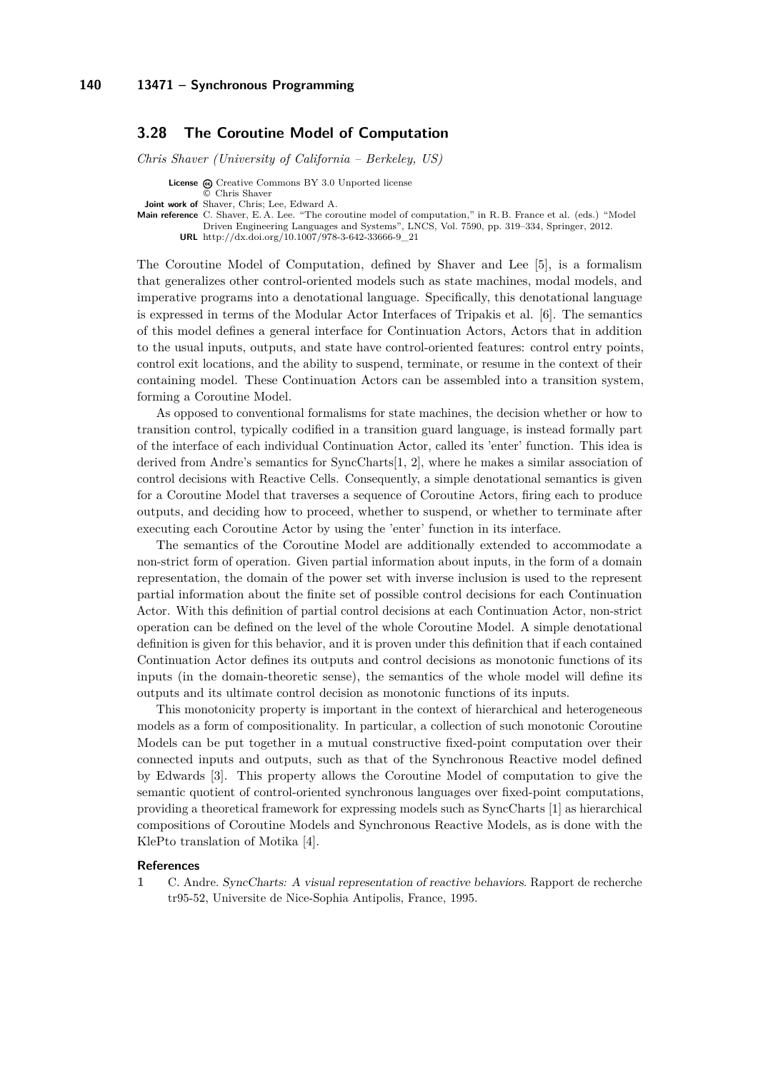### <span id="page-23-0"></span>**3.28 The Coroutine Model of Computation**

*Chris Shaver (University of California – Berkeley, US)*

**License**  $\odot$  [Creative Commons BY 3.0 Unported](http://creativecommons.org/licenses/by/3.0/) license © [Chris Shaver](#page-23-0)

**Joint work of** Shaver, Chris; Lee, Edward A.

**Main reference** [C. Shaver, E. A. Lee. "The coroutine model of computation," in R. B. France et al. \(eds.\) "Model](http://dx.doi.org/10.1007/978-3-642-33666-9_21) [Driven Engineering Languages and Systems", LNCS, Vol. 7590, pp. 319–334, Springer, 2012.](http://dx.doi.org/10.1007/978-3-642-33666-9_21)

**URL** [http://dx.doi.org/10.1007/978-3-642-33666-9\\_21](http://dx.doi.org/10.1007/978-3-642-33666-9_21)

The Coroutine Model of Computation, defined by Shaver and Lee [\[5\]](#page-24-2), is a formalism that generalizes other control-oriented models such as state machines, modal models, and imperative programs into a denotational language. Specifically, this denotational language is expressed in terms of the Modular Actor Interfaces of Tripakis et al. [\[6\]](#page-24-3). The semantics of this model defines a general interface for Continuation Actors, Actors that in addition to the usual inputs, outputs, and state have control-oriented features: control entry points, control exit locations, and the ability to suspend, terminate, or resume in the context of their containing model. These Continuation Actors can be assembled into a transition system, forming a Coroutine Model.

As opposed to conventional formalisms for state machines, the decision whether or how to transition control, typically codified in a transition guard language, is instead formally part of the interface of each individual Continuation Actor, called its 'enter' function. This idea is derived from Andre's semantics for SyncCharts[\[1,](#page-23-1) [2\]](#page-24-4), where he makes a similar association of control decisions with Reactive Cells. Consequently, a simple denotational semantics is given for a Coroutine Model that traverses a sequence of Coroutine Actors, firing each to produce outputs, and deciding how to proceed, whether to suspend, or whether to terminate after executing each Coroutine Actor by using the 'enter' function in its interface.

The semantics of the Coroutine Model are additionally extended to accommodate a non-strict form of operation. Given partial information about inputs, in the form of a domain representation, the domain of the power set with inverse inclusion is used to the represent partial information about the finite set of possible control decisions for each Continuation Actor. With this definition of partial control decisions at each Continuation Actor, non-strict operation can be defined on the level of the whole Coroutine Model. A simple denotational definition is given for this behavior, and it is proven under this definition that if each contained Continuation Actor defines its outputs and control decisions as monotonic functions of its inputs (in the domain-theoretic sense), the semantics of the whole model will define its outputs and its ultimate control decision as monotonic functions of its inputs.

This monotonicity property is important in the context of hierarchical and heterogeneous models as a form of compositionality. In particular, a collection of such monotonic Coroutine Models can be put together in a mutual constructive fixed-point computation over their connected inputs and outputs, such as that of the Synchronous Reactive model defined by Edwards [\[3\]](#page-24-5). This property allows the Coroutine Model of computation to give the semantic quotient of control-oriented synchronous languages over fixed-point computations, providing a theoretical framework for expressing models such as SyncCharts [\[1\]](#page-23-1) as hierarchical compositions of Coroutine Models and Synchronous Reactive Models, as is done with the KlePto translation of Motika [\[4\]](#page-24-6).

#### **References**

<span id="page-23-1"></span>**1** C. Andre. SyncCharts: A visual representation of reactive behaviors. Rapport de recherche tr95-52, Universite de Nice-Sophia Antipolis, France, 1995.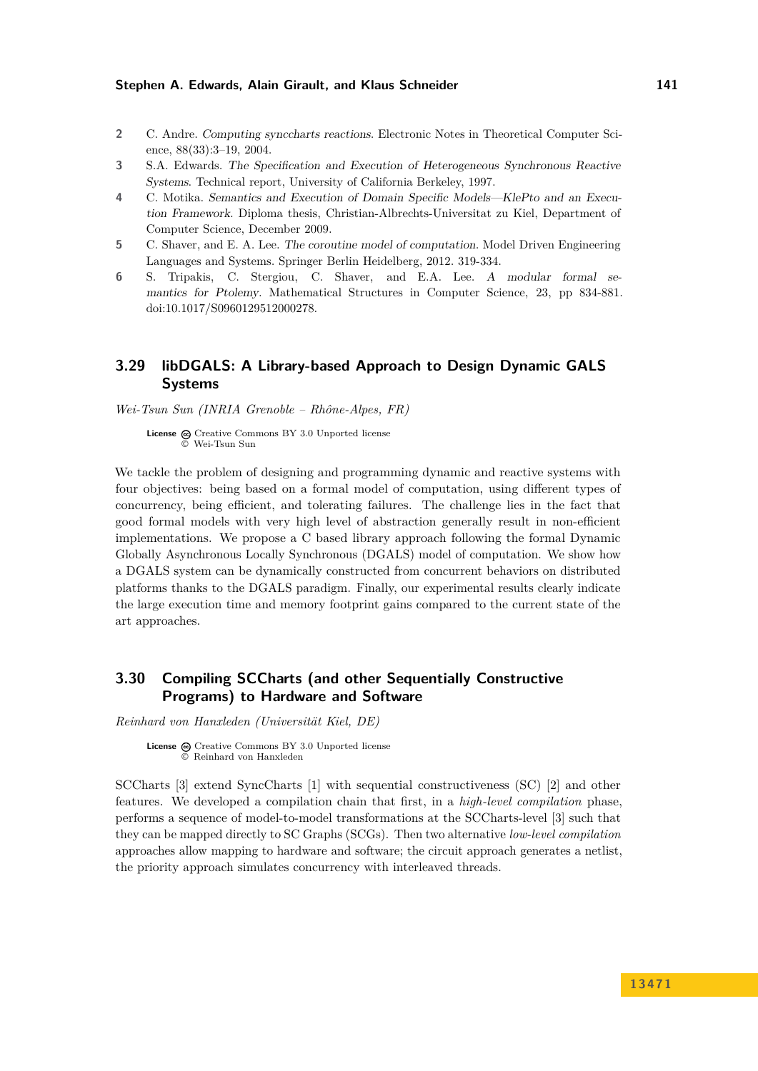- <span id="page-24-4"></span>**2** C. Andre. Computing synccharts reactions. Electronic Notes in Theoretical Computer Science, 88(33):3–19, 2004.
- <span id="page-24-5"></span>**3** S.A. Edwards. The Specification and Execution of Heterogeneous Synchronous Reactive Systems. Technical report, University of California Berkeley, 1997.
- <span id="page-24-6"></span>**4** C. Motika. Semantics and Execution of Domain Specific Models—KlePto and an Execution Framework. Diploma thesis, Christian-Albrechts-Universitat zu Kiel, Department of Computer Science, December 2009.
- <span id="page-24-2"></span>**5** C. Shaver, and E. A. Lee. The coroutine model of computation. Model Driven Engineering Languages and Systems. Springer Berlin Heidelberg, 2012. 319-334.
- <span id="page-24-3"></span>**6** S. Tripakis, C. Stergiou, C. Shaver, and E.A. Lee. A modular formal semantics for Ptolemy. Mathematical Structures in Computer Science, 23, pp 834-881. doi:10.1017/S0960129512000278.

# <span id="page-24-0"></span>**3.29 libDGALS: A Library-based Approach to Design Dynamic GALS Systems**

*Wei-Tsun Sun (INRIA Grenoble – Rhône-Alpes, FR)*

**License**  $\textcircled{e}$  [Creative Commons BY 3.0 Unported](http://creativecommons.org/licenses/by/3.0/) license © [Wei-Tsun Sun](#page-24-0)

We tackle the problem of designing and programming dynamic and reactive systems with four objectives: being based on a formal model of computation, using different types of concurrency, being efficient, and tolerating failures. The challenge lies in the fact that good formal models with very high level of abstraction generally result in non-efficient implementations. We propose a C based library approach following the formal Dynamic Globally Asynchronous Locally Synchronous (DGALS) model of computation. We show how a DGALS system can be dynamically constructed from concurrent behaviors on distributed platforms thanks to the DGALS paradigm. Finally, our experimental results clearly indicate the large execution time and memory footprint gains compared to the current state of the art approaches.

# <span id="page-24-1"></span>**3.30 Compiling SCCharts (and other Sequentially Constructive Programs) to Hardware and Software**

*Reinhard von Hanxleden (Universität Kiel, DE)*

License  $\textcircled{a}$  [Creative Commons BY 3.0 Unported](http://creativecommons.org/licenses/by/3.0/) license © [Reinhard von Hanxleden](#page-24-1)

SCCharts [\[3\]](#page-25-1) extend SyncCharts [\[1\]](#page-25-2) with sequential constructiveness (SC) [\[2\]](#page-25-3) and other features. We developed a compilation chain that first, in a *high-level compilation* phase, performs a sequence of model-to-model transformations at the SCCharts-level [\[3\]](#page-25-1) such that they can be mapped directly to SC Graphs (SCGs). Then two alternative *low-level compilation* approaches allow mapping to hardware and software; the circuit approach generates a netlist, the priority approach simulates concurrency with interleaved threads.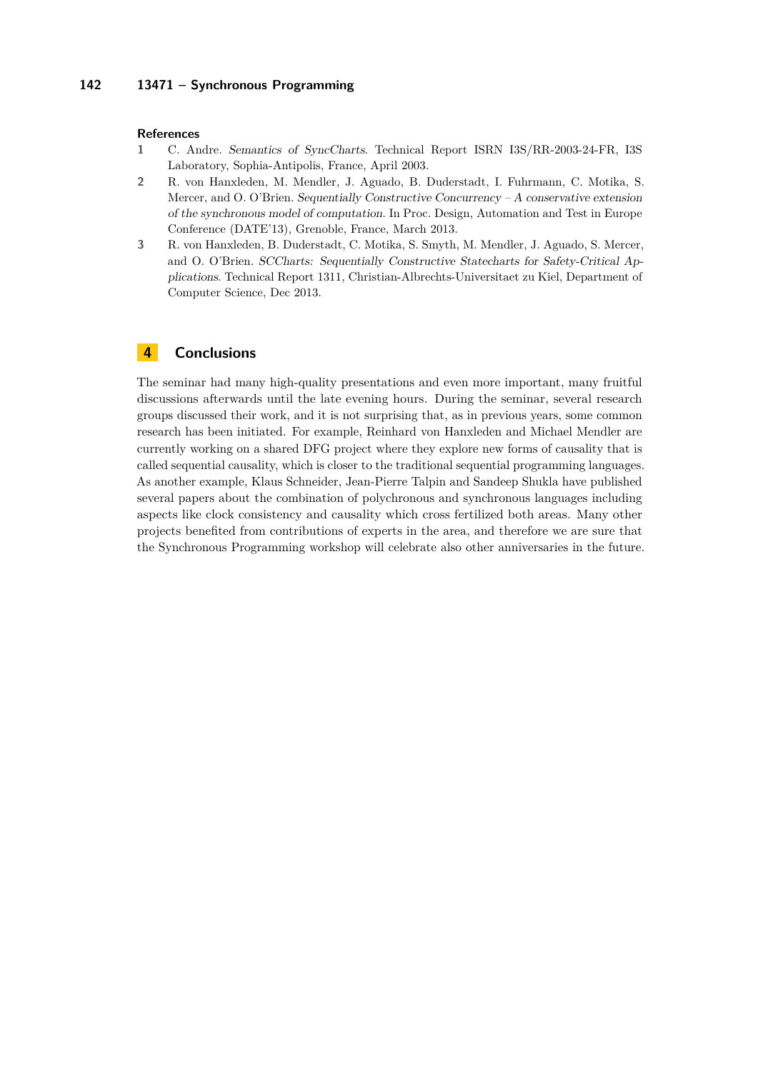### **142 13471 – Synchronous Programming**

#### **References**

- <span id="page-25-2"></span>**1** C. Andre. Semantics of SyncCharts. Technical Report ISRN I3S/RR-2003-24-FR, I3S Laboratory, Sophia-Antipolis, France, April 2003.
- <span id="page-25-3"></span>**2** R. von Hanxleden, M. Mendler, J. Aguado, B. Duderstadt, I. Fuhrmann, C. Motika, S. Mercer, and O. O'Brien. Sequentially Constructive Concurrency – A conservative extension of the synchronous model of computation. In Proc. Design, Automation and Test in Europe Conference (DATE'13), Grenoble, France, March 2013.
- <span id="page-25-1"></span>**3** R. von Hanxleden, B. Duderstadt, C. Motika, S. Smyth, M. Mendler, J. Aguado, S. Mercer, and O. O'Brien. SCCharts: Sequentially Constructive Statecharts for Safety-Critical Applications. Technical Report 1311, Christian-Albrechts-Universitaet zu Kiel, Department of Computer Science, Dec 2013.

# <span id="page-25-0"></span>**4 Conclusions**

The seminar had many high-quality presentations and even more important, many fruitful discussions afterwards until the late evening hours. During the seminar, several research groups discussed their work, and it is not surprising that, as in previous years, some common research has been initiated. For example, Reinhard von Hanxleden and Michael Mendler are currently working on a shared DFG project where they explore new forms of causality that is called sequential causality, which is closer to the traditional sequential programming languages. As another example, Klaus Schneider, Jean-Pierre Talpin and Sandeep Shukla have published several papers about the combination of polychronous and synchronous languages including aspects like clock consistency and causality which cross fertilized both areas. Many other projects benefited from contributions of experts in the area, and therefore we are sure that the Synchronous Programming workshop will celebrate also other anniversaries in the future.